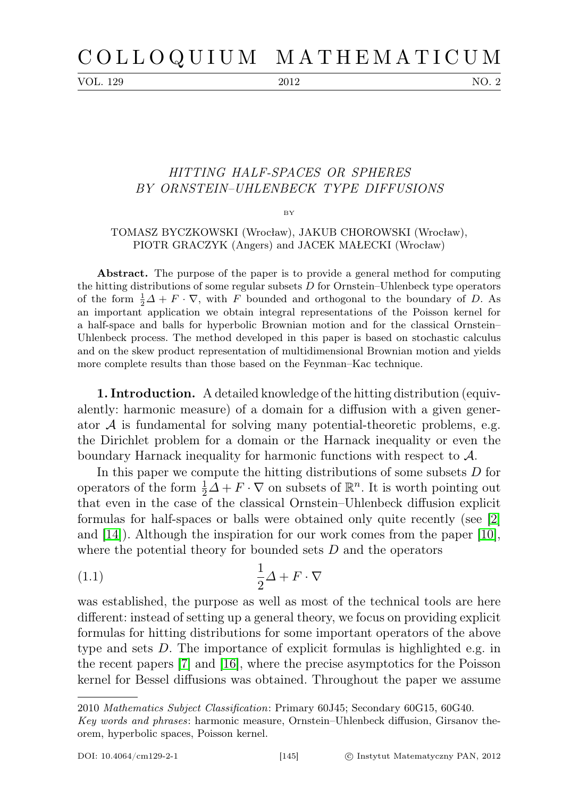VOL. 129 2012 NO. 2

## HITTING HALF-SPACES OR SPHERES BY ORNSTEIN–UHLENBECK TYPE DIFFUSIONS

BY

## TOMASZ BYCZKOWSKI (Wrocław), JAKUB CHOROWSKI (Wrocław), PIOTR GRACZYK (Angers) and JACEK MAŁECKI (Wrocław)

Abstract. The purpose of the paper is to provide a general method for computing the hitting distributions of some regular subsets  $D$  for Ornstein–Uhlenbeck type operators of the form  $\frac{1}{2}\Delta + F \cdot \nabla$ , with F bounded and orthogonal to the boundary of D. As an important application we obtain integral representations of the Poisson kernel for a half-space and balls for hyperbolic Brownian motion and for the classical Ornstein– Uhlenbeck process. The method developed in this paper is based on stochastic calculus and on the skew product representation of multidimensional Brownian motion and yields more complete results than those based on the Feynman–Kac technique.

1. Introduction. A detailed knowledge of the hitting distribution (equivalently: harmonic measure) of a domain for a diffusion with a given generator  $A$  is fundamental for solving many potential-theoretic problems, e.g. the Dirichlet problem for a domain or the Harnack inequality or even the boundary Harnack inequality for harmonic functions with respect to  $A$ .

In this paper we compute the hitting distributions of some subsets D for operators of the form  $\frac{1}{2}\Delta + F \cdot \nabla$  on subsets of  $\mathbb{R}^n$ . It is worth pointing out that even in the case of the classical Ornstein–Uhlenbeck diffusion explicit formulas for half-spaces or balls were obtained only quite recently (see [\[2\]](#page-25-0) and [\[14\]](#page-26-0)). Although the inspiration for our work comes from the paper [\[10\]](#page-25-1), where the potential theory for bounded sets  $D$  and the operators

<span id="page-0-0"></span>
$$
\frac{1}{2}\Delta + F \cdot \nabla
$$

was established, the purpose as well as most of the technical tools are here different: instead of setting up a general theory, we focus on providing explicit formulas for hitting distributions for some important operators of the above type and sets D. The importance of explicit formulas is highlighted e.g. in the recent papers [\[7\]](#page-25-2) and [\[16\]](#page-26-1), where the precise asymptotics for the Poisson kernel for Bessel diffusions was obtained. Throughout the paper we assume

<sup>2010</sup> Mathematics Subject Classification: Primary 60J45; Secondary 60G15, 60G40.

Key words and phrases: harmonic measure, Ornstein–Uhlenbeck diffusion, Girsanov theorem, hyperbolic spaces, Poisson kernel.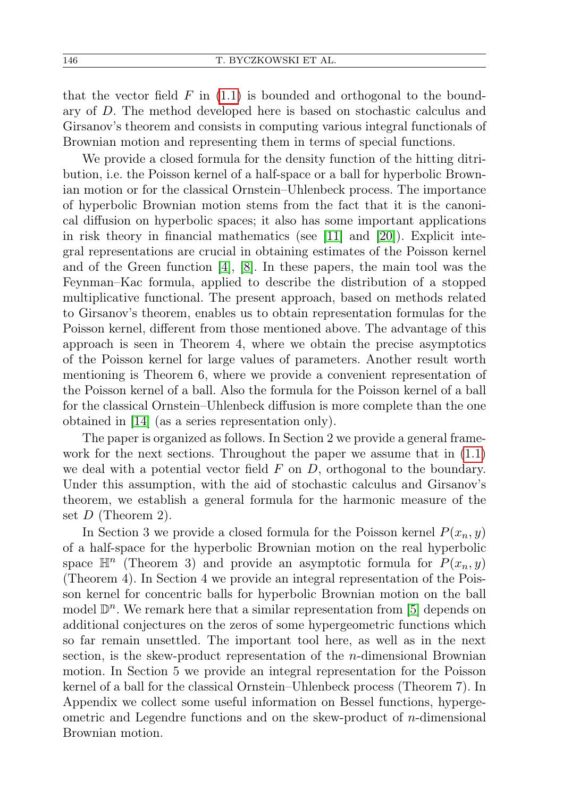that the vector field  $F$  in  $(1.1)$  is bounded and orthogonal to the boundary of D. The method developed here is based on stochastic calculus and Girsanov's theorem and consists in computing various integral functionals of Brownian motion and representing them in terms of special functions.

We provide a closed formula for the density function of the hitting ditribution, i.e. the Poisson kernel of a half-space or a ball for hyperbolic Brownian motion or for the classical Ornstein–Uhlenbeck process. The importance of hyperbolic Brownian motion stems from the fact that it is the canonical diffusion on hyperbolic spaces; it also has some important applications in risk theory in financial mathematics (see [\[11\]](#page-25-3) and [\[20\]](#page-26-2)). Explicit integral representations are crucial in obtaining estimates of the Poisson kernel and of the Green function [\[4\]](#page-25-4), [\[8\]](#page-25-5). In these papers, the main tool was the Feynman–Kac formula, applied to describe the distribution of a stopped multiplicative functional. The present approach, based on methods related to Girsanov's theorem, enables us to obtain representation formulas for the Poisson kernel, different from those mentioned above. The advantage of this approach is seen in Theorem 4, where we obtain the precise asymptotics of the Poisson kernel for large values of parameters. Another result worth mentioning is Theorem 6, where we provide a convenient representation of the Poisson kernel of a ball. Also the formula for the Poisson kernel of a ball for the classical Ornstein–Uhlenbeck diffusion is more complete than the one obtained in [\[14\]](#page-26-0) (as a series representation only).

The paper is organized as follows. In Section 2 we provide a general framework for the next sections. Throughout the paper we assume that in [\(1.1\)](#page-0-0) we deal with a potential vector field  $F$  on  $D$ , orthogonal to the boundary. Under this assumption, with the aid of stochastic calculus and Girsanov's theorem, we establish a general formula for the harmonic measure of the set  $D$  (Theorem 2).

In Section 3 we provide a closed formula for the Poisson kernel  $P(x_n, y)$ of a half-space for the hyperbolic Brownian motion on the real hyperbolic space  $\mathbb{H}^n$  (Theorem 3) and provide an asymptotic formula for  $P(x_n, y)$ (Theorem 4). In Section 4 we provide an integral representation of the Poisson kernel for concentric balls for hyperbolic Brownian motion on the ball model  $\mathbb{D}^n$ . We remark here that a similar representation from [\[5\]](#page-25-6) depends on additional conjectures on the zeros of some hypergeometric functions which so far remain unsettled. The important tool here, as well as in the next section, is the skew-product representation of the n-dimensional Brownian motion. In Section 5 we provide an integral representation for the Poisson kernel of a ball for the classical Ornstein–Uhlenbeck process (Theorem 7). In Appendix we collect some useful information on Bessel functions, hypergeometric and Legendre functions and on the skew-product of  $n$ -dimensional Brownian motion.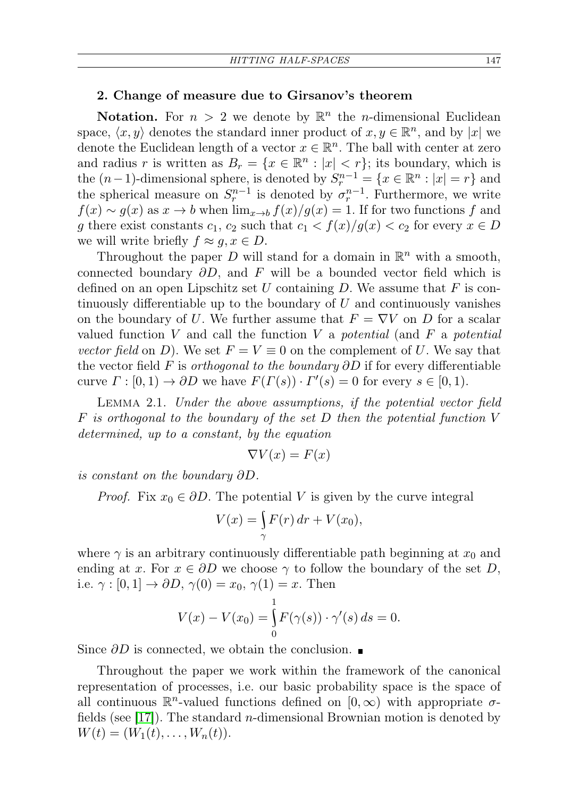## 2. Change of measure due to Girsanov's theorem

**Notation.** For  $n > 2$  we denote by  $\mathbb{R}^n$  the *n*-dimensional Euclidean space,  $\langle x, y \rangle$  denotes the standard inner product of  $x, y \in \mathbb{R}^n$ , and by |x| we denote the Euclidean length of a vector  $x \in \mathbb{R}^n$ . The ball with center at zero and radius r is written as  $B_r = \{x \in \mathbb{R}^n : |x| < r\}$ ; its boundary, which is the  $(n-1)$ -dimensional sphere, is denoted by  $S_r^{n-1} = \{x \in \mathbb{R}^n : |x| = r\}$  and the spherical measure on  $S_r^{n-1}$  is denoted by  $\sigma_r^{n-1}$ . Furthermore, we write  $f(x) \sim g(x)$  as  $x \to b$  when  $\lim_{x \to b} f(x)/g(x) = 1$ . If for two functions f and g there exist constants  $c_1, c_2$  such that  $c_1 < f(x)/g(x) < c_2$  for every  $x \in D$ we will write briefly  $f \approx g, x \in D$ .

Throughout the paper D will stand for a domain in  $\mathbb{R}^n$  with a smooth, connected boundary  $\partial D$ , and F will be a bounded vector field which is defined on an open Lipschitz set U containing D. We assume that  $F$  is continuously differentiable up to the boundary of  $U$  and continuously vanishes on the boundary of U. We further assume that  $F = \nabla V$  on D for a scalar valued function V and call the function V a potential (and F a potential vector field on D). We set  $F = V \equiv 0$  on the complement of U. We say that the vector field F is *orthogonal to the boundary*  $\partial D$  if for every differentiable curve  $\Gamma : [0,1) \to \partial D$  we have  $F(\Gamma(s)) \cdot \Gamma'(s) = 0$  for every  $s \in [0,1)$ .

Lemma 2.1. Under the above assumptions, if the potential vector field  $F$  is orthogonal to the boundary of the set  $D$  then the potential function  $V$ determined, up to a constant, by the equation

$$
\nabla V(x) = F(x)
$$

is constant on the boundary ∂D.

*Proof.* Fix  $x_0 \in \partial D$ . The potential V is given by the curve integral

$$
V(x) = \int_{\gamma} F(r) dr + V(x_0),
$$

where  $\gamma$  is an arbitrary continuously differentiable path beginning at  $x_0$  and ending at x. For  $x \in \partial D$  we choose  $\gamma$  to follow the boundary of the set D, i.e.  $\gamma : [0, 1] \rightarrow \partial D, \gamma(0) = x_0, \gamma(1) = x$ . Then

$$
V(x) - V(x_0) = \int_{0}^{1} F(\gamma(s)) \cdot \gamma'(s) ds = 0.
$$

Since  $\partial D$  is connected, we obtain the conclusion. ■

Throughout the paper we work within the framework of the canonical representation of processes, i.e. our basic probability space is the space of all continuous  $\mathbb{R}^n$ -valued functions defined on  $[0,\infty)$  with appropriate  $\sigma$ fields (see [\[17\]](#page-26-3)). The standard n-dimensional Brownian motion is denoted by  $W(t) = (W_1(t), \ldots, W_n(t)).$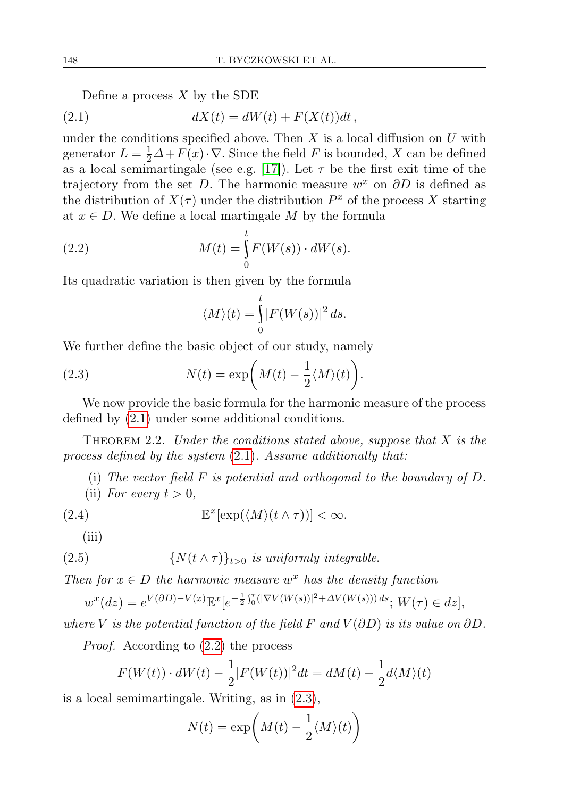<span id="page-3-0"></span>Define a process  $X$  by the SDE

$$
(2.1) \t\t dX(t) = dW(t) + F(X(t))dt,
$$

under the conditions specified above. Then X is a local diffusion on  $U$  with generator  $L = \frac{1}{2}\Delta + F(x) \cdot \nabla$ . Since the field F is bounded, X can be defined as a local semimartingale (see e.g. [\[17\]](#page-26-3)). Let  $\tau$  be the first exit time of the trajectory from the set D. The harmonic measure  $w^x$  on  $\partial D$  is defined as the distribution of  $X(\tau)$  under the distribution  $P^x$  of the process X starting at  $x \in D$ . We define a local martingale M by the formula

(2.2) 
$$
M(t) = \int_{0}^{t} F(W(s)) \cdot dW(s).
$$

Its quadratic variation is then given by the formula

<span id="page-3-1"></span>
$$
\langle M \rangle(t) = \int_{0}^{t} |F(W(s))|^2 ds.
$$

We further define the basic object of our study, namely

(2.3) 
$$
N(t) = \exp\left(M(t) - \frac{1}{2} \langle M \rangle(t)\right).
$$

We now provide the basic formula for the harmonic measure of the process defined by [\(2.1\)](#page-3-0) under some additional conditions.

<span id="page-3-3"></span>THEOREM 2.2. Under the conditions stated above, suppose that  $X$  is the process defined by the system [\(2.1\)](#page-3-0). Assume additionally that:

- <span id="page-3-4"></span>(i) The vector field  $F$  is potential and orthogonal to the boundary of  $D$ .
- (ii) For every  $t > 0$ ,

(2.4) 
$$
\mathbb{E}^x[\exp(\langle M \rangle(t \wedge \tau))] < \infty.
$$

<span id="page-3-2"></span>(iii)

(2.5) 
$$
\{N(t \wedge \tau)\}_{t>0} \text{ is uniformly integrable.}
$$

Then for  $x \in D$  the harmonic measure  $w^x$  has the density function

$$
w^x(dz) = e^{V(\partial D) - V(x)} \mathbb{E}^x[e^{-\frac{1}{2}\int_0^{\tau}(|\nabla V(W(s))|^2 + \Delta V(W(s)))ds}; W(\tau) \in dz],
$$

where V is the potential function of the field F and  $V(\partial D)$  is its value on  $\partial D$ .

Proof. According to [\(2.2\)](#page-3-0) the process

$$
F(W(t)) \cdot dW(t) - \frac{1}{2}|F(W(t))|^2 dt = dM(t) - \frac{1}{2}d\langle M \rangle(t)
$$

is a local semimartingale. Writing, as in [\(2.3\)](#page-3-1),

$$
N(t) = \exp\left(M(t) - \frac{1}{2}\langle M \rangle(t)\right)
$$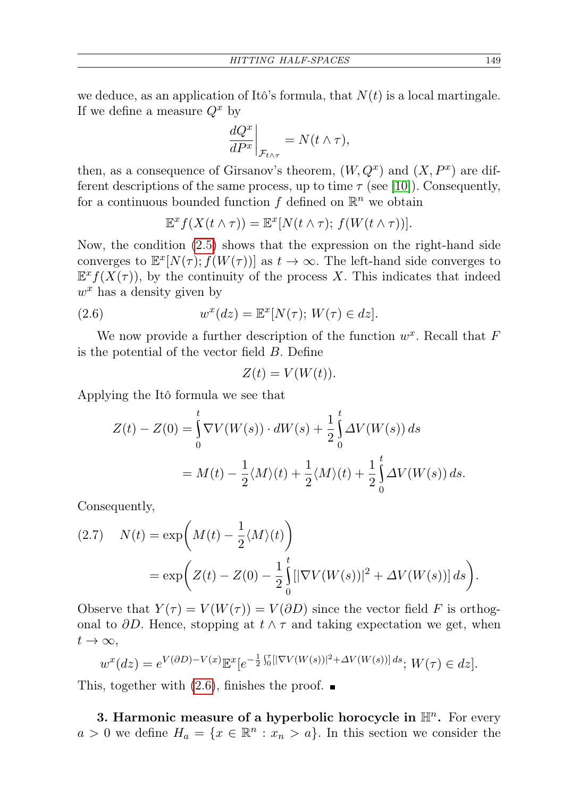we deduce, as an application of Itô's formula, that  $N(t)$  is a local martingale. If we define a measure  $Q^x$  by

$$
\left. \frac{dQ^x}{dP^x} \right|_{\mathcal{F}_{t \wedge \tau}} = N(t \wedge \tau),
$$

then, as a consequence of Girsanov's theorem,  $(W, Q^x)$  and  $(X, P^x)$  are different descriptions of the same process, up to time  $\tau$  (see [\[10\]](#page-25-1)). Consequently, for a continuous bounded function  $f$  defined on  $\mathbb{R}^n$  we obtain

$$
\mathbb{E}^x f(X(t \wedge \tau)) = \mathbb{E}^x[N(t \wedge \tau); f(W(t \wedge \tau))].
$$

Now, the condition [\(2.5\)](#page-3-2) shows that the expression on the right-hand side converges to  $\mathbb{E}^x[N(\tau); f(W(\tau))]$  as  $t \to \infty$ . The left-hand side converges to  $\mathbb{E}^{x} f(X(\tau))$ , by the continuity of the process X. This indicates that indeed  $w^x$  has a density given by

(2.6) 
$$
w^x(dz) = \mathbb{E}^x[N(\tau); W(\tau) \in dz].
$$

We now provide a further description of the function  $w^x$ . Recall that F is the potential of the vector field B. Define

$$
Z(t) = V(W(t)).
$$

Applying the Itô formula we see that

$$
Z(t) - Z(0) = \int_0^t \nabla V(W(s)) \cdot dW(s) + \frac{1}{2} \int_0^t \Delta V(W(s)) ds
$$
  
=  $M(t) - \frac{1}{2} \langle M \rangle(t) + \frac{1}{2} \langle M \rangle(t) + \frac{1}{2} \int_0^t \Delta V(W(s)) ds.$ 

Consequently,

(2.7) 
$$
N(t) = \exp\left(M(t) - \frac{1}{2}\langle M \rangle(t)\right)
$$
  
= 
$$
\exp\left(Z(t) - Z(0) - \frac{1}{2}\int_{0}^{t} [|\nabla V(W(s))|^{2} + \Delta V(W(s))] ds\right).
$$

Observe that  $Y(\tau) = V(W(\tau)) = V(\partial D)$  since the vector field F is orthogonal to  $\partial D$ . Hence, stopping at  $t \wedge \tau$  and taking expectation we get, when  $t\to\infty,$ 

$$
w^x (dz) = e^{V(\partial D) - V(x)} \mathbb{E}^x [e^{-\frac{1}{2} \int_0^{\tau} [|\nabla V(W(s))|^2 + \Delta V(W(s))] ds}; W(\tau) \in dz].
$$

This, together with  $(2.6)$ , finishes the proof.  $\blacksquare$ 

<span id="page-4-0"></span>3. Harmonic measure of a hyperbolic horocycle in  $\mathbb{H}^n$ . For every  $a > 0$  we define  $H_a = \{x \in \mathbb{R}^n : x_n > a\}$ . In this section we consider the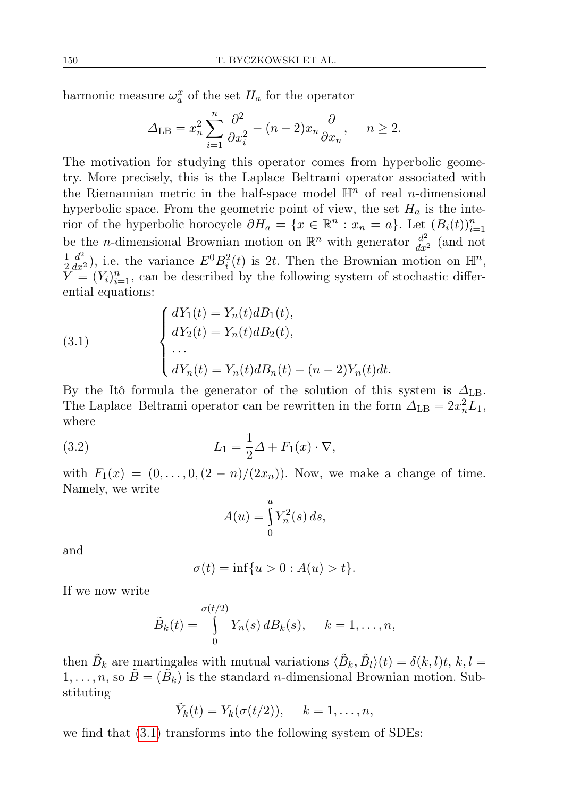harmonic measure  $\omega_a^x$  of the set  $H_a$  for the operator

$$
\Delta_{\text{LB}} = x_n^2 \sum_{i=1}^n \frac{\partial^2}{\partial x_i^2} - (n-2)x_n \frac{\partial}{\partial x_n}, \quad n \ge 2.
$$

The motivation for studying this operator comes from hyperbolic geometry. More precisely, this is the Laplace–Beltrami operator associated with the Riemannian metric in the half-space model  $\mathbb{H}^n$  of real *n*-dimensional hyperbolic space. From the geometric point of view, the set  $H_a$  is the interior of the hyperbolic horocycle  $\partial H_a = \{x \in \mathbb{R}^n : x_n = a\}$ . Let  $(B_i(t))_{i=1}^n$ be the *n*-dimensional Brownian motion on  $\mathbb{R}^n$  with generator  $\frac{d^2}{dx^2}$  (and not 1 2  $\frac{d^2}{dx^2}$ ), i.e. the variance  $E^0B_i^2(t)$  is 2t. Then the Brownian motion on  $\mathbb{H}^n$ ,  $\tilde{Y}^{\tilde{w}} = (Y_i)_{i=1}^n$ , can be described by the following system of stochastic differential equations:

<span id="page-5-0"></span>(3.1) 
$$
\begin{cases} dY_1(t) = Y_n(t)dB_1(t), \\ dY_2(t) = Y_n(t)dB_2(t), \\ \dots \\ dY_n(t) = Y_n(t)dB_n(t) - (n-2)Y_n(t)dt. \end{cases}
$$

By the Itô formula the generator of the solution of this system is  $\Delta_{\text{LB}}$ . The Laplace–Beltrami operator can be rewritten in the form  $\Delta_{\text{LB}} = 2x_n^2 L_1$ , where

(3.2) 
$$
L_1 = \frac{1}{2}\Delta + F_1(x) \cdot \nabla,
$$

with  $F_1(x) = (0, \ldots, 0, (2 - n)/(2x_n))$ . Now, we make a change of time. Namely, we write

$$
A(u) = \int_{0}^{u} Y_n^2(s) \, ds,
$$

and

$$
\sigma(t) = \inf\{u > 0 : A(u) > t\}.
$$

If we now write

$$
\tilde{B}_k(t) = \int\limits_0^{\sigma(t/2)} Y_n(s) \, dB_k(s), \quad k = 1, \dots, n,
$$

then  $\tilde{B}_k$  are martingales with mutual variations  $\langle \tilde{B}_k, \tilde{B}_l \rangle(t) = \delta(k, l)t, k, l =$  $1, \ldots, n$ , so  $\tilde{B} = (\tilde{B}_{k})$  is the standard *n*-dimensional Brownian motion. Substituting

$$
\tilde{Y}_k(t) = Y_k(\sigma(t/2)), \quad k = 1, \dots, n,
$$

we find that [\(3.1\)](#page-5-0) transforms into the following system of SDEs: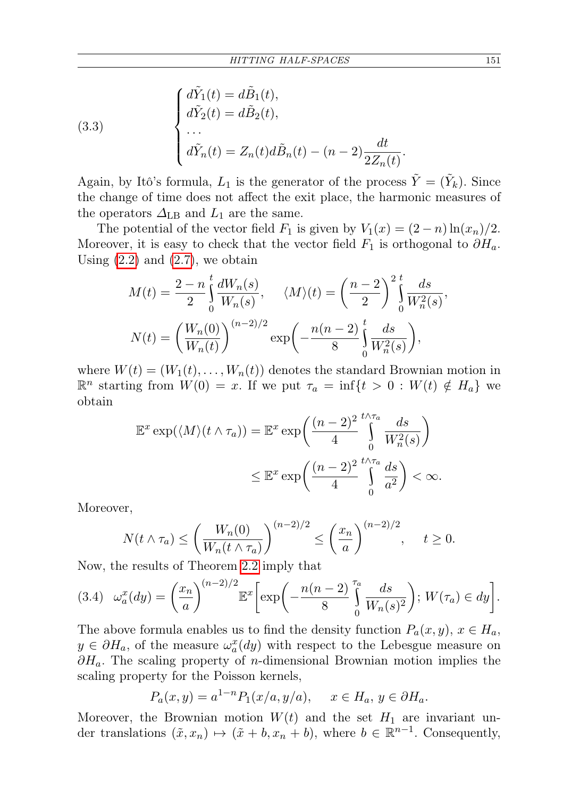(3.3)  

$$
\begin{cases}\n d\tilde{Y}_1(t) = d\tilde{B}_1(t), \\
d\tilde{Y}_2(t) = d\tilde{B}_2(t), \\
\cdots \\
d\tilde{Y}_n(t) = Z_n(t) d\tilde{B}_n(t) - (n-2) \frac{dt}{2Z_n(t)}.\n\end{cases}
$$

Again, by Itô's formula,  $L_1$  is the generator of the process  $\tilde{Y} = (\tilde{Y}_k)$ . Since the change of time does not affect the exit place, the harmonic measures of the operators  $\Delta_{\text{LB}}$  and  $L_1$  are the same.

The potential of the vector field  $F_1$  is given by  $V_1(x) = (2 - n) \ln(x_n)/2$ . Moreover, it is easy to check that the vector field  $F_1$  is orthogonal to  $\partial H_a$ . Using  $(2.2)$  and  $(2.7)$ , we obtain

$$
M(t) = \frac{2 - n}{2} \int_0^t \frac{dW_n(s)}{W_n(s)}, \quad \langle M \rangle(t) = \left(\frac{n - 2}{2}\right)^2 \int_0^t \frac{ds}{W_n^2(s)},
$$

$$
N(t) = \left(\frac{W_n(0)}{W_n(t)}\right)^{(n-2)/2} \exp\left(-\frac{n(n-2)}{8} \int_0^t \frac{ds}{W_n^2(s)}\right),
$$

where  $W(t) = (W_1(t), \ldots, W_n(t))$  denotes the standard Brownian motion in  $\mathbb{R}^n$  starting from  $W(0) = x$ . If we put  $\tau_a = \inf\{t > 0 : W(t) \notin H_a\}$  we obtain

$$
\mathbb{E}^x \exp(\langle M \rangle (t \wedge \tau_a)) = \mathbb{E}^x \exp\left(\frac{(n-2)^2}{4} \int_0^{t \wedge \tau_a} \frac{ds}{W_n^2(s)}\right)
$$

$$
\leq \mathbb{E}^x \exp\left(\frac{(n-2)^2}{4} \int_0^{t \wedge \tau_a} \frac{ds}{a^2}\right) < \infty.
$$

Moreover,

$$
N(t \wedge \tau_a) \le \left(\frac{W_n(0)}{W_n(t \wedge \tau_a)}\right)^{(n-2)/2} \le \left(\frac{x_n}{a}\right)^{(n-2)/2}, \quad t \ge 0.
$$

Now, the results of Theorem [2.2](#page-3-3) imply that

<span id="page-6-0"></span>
$$
(3.4) \quad \omega_a^x(dy) = \left(\frac{x_n}{a}\right)^{(n-2)/2} \mathbb{E}^x \bigg[ \exp\bigg(-\frac{n(n-2)}{8}\int_0^{\tau_a} \frac{ds}{W_n(s)^2}\bigg); \ W(\tau_a) \in dy \bigg].
$$

The above formula enables us to find the density function  $P_a(x, y)$ ,  $x \in H_a$ ,  $y \in \partial H_a$ , of the measure  $\omega_a^x(dy)$  with respect to the Lebesgue measure on  $\partial H_a$ . The scaling property of *n*-dimensional Brownian motion implies the scaling property for the Poisson kernels,

$$
P_a(x,y) = a^{1-n} P_1(x/a, y/a), \quad x \in H_a, y \in \partial H_a.
$$

Moreover, the Brownian motion  $W(t)$  and the set  $H_1$  are invariant under translations  $(\tilde{x}, x_n) \mapsto (\tilde{x} + b, x_n + b)$ , where  $b \in \mathbb{R}^{n-1}$ . Consequently,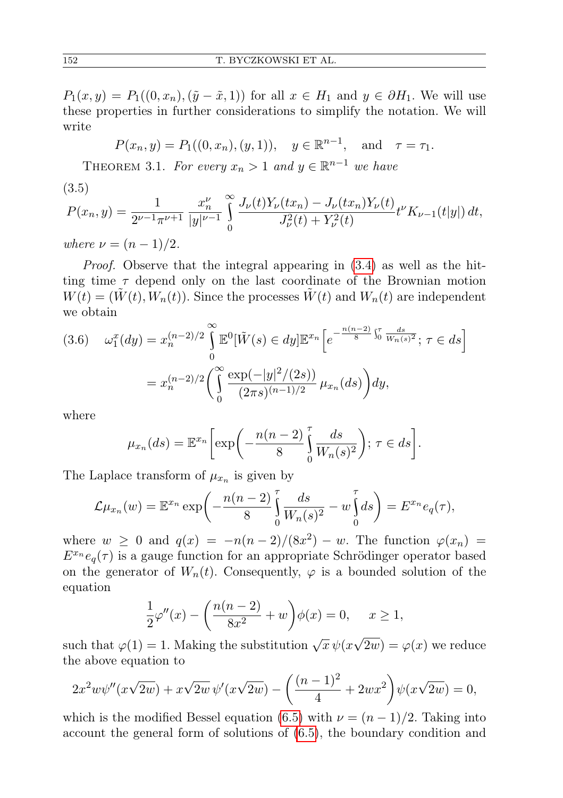$P_1(x, y) = P_1((0, x_n), (\tilde{y} - \tilde{x}, 1))$  for all  $x \in H_1$  and  $y \in \partial H_1$ . We will use these properties in further considerations to simplify the notation. We will write

$$
P(x_n, y) = P_1((0, x_n), (y, 1)), \quad y \in \mathbb{R}^{n-1}, \text{ and } \tau = \tau_1.
$$

<span id="page-7-1"></span>THEOREM 3.1. For every  $x_n > 1$  and  $y \in \mathbb{R}^{n-1}$  we have

<span id="page-7-0"></span>(3.5)

$$
P(x_n, y) = \frac{1}{2^{\nu - 1}\pi^{\nu + 1}} \frac{x_n^{\nu}}{|y|^{\nu - 1}} \int_0^{\infty} \frac{J_{\nu}(t)Y_{\nu}(tx_n) - J_{\nu}(tx_n)Y_{\nu}(t)}{J_{\nu}^2(t) + Y_{\nu}^2(t)} t^{\nu} K_{\nu - 1}(t|y|) dt,
$$

where  $\nu = (n-1)/2$ .

Proof. Observe that the integral appearing in [\(3.4\)](#page-6-0) as well as the hitting time  $\tau$  depend only on the last coordinate of the Brownian motion  $W(t) = (\tilde{W}(t), W_n(t))$ . Since the processes  $\tilde{W}(t)$  and  $W_n(t)$  are independent we obtain

$$
(3.6) \quad \omega_1^x(dy) = x_n^{(n-2)/2} \int_0^\infty \mathbb{E}^0[\tilde{W}(s) \in dy] \mathbb{E}^{x_n} \left[ e^{-\frac{n(n-2)}{8} \int_0^\tau \frac{ds}{W_n(s)^2}}; \tau \in ds \right]
$$

$$
= x_n^{(n-2)/2} \left( \int_0^\infty \frac{\exp(-|y|^2/(2s))}{(2\pi s)^{(n-1)/2}} \mu_{x_n}(ds) \right) dy,
$$

where

$$
\mu_{x_n}(ds) = \mathbb{E}^{x_n} \bigg[ \exp\bigg( -\frac{n(n-2)}{8} \int_0^{\tau} \frac{ds}{W_n(s)^2} \bigg); \ \tau \in ds \bigg].
$$

The Laplace transform of  $\mu_{x_n}$  is given by

$$
\mathcal{L}\mu_{x_n}(w) = \mathbb{E}^{x_n} \exp\left(-\frac{n(n-2)}{8} \int_0^{\tau} \frac{ds}{W_n(s)^2} - w \int_0^{\tau} ds\right) = E^{x_n} e_q(\tau),
$$

where  $w \ge 0$  and  $q(x) = -n(n-2)/(8x^2) - w$ . The function  $\varphi(x_n) =$  $E^{x_n}e_q(\tau)$  is a gauge function for an appropriate Schrödinger operator based on the generator of  $W_n(t)$ . Consequently,  $\varphi$  is a bounded solution of the equation

$$
\frac{1}{2}\varphi''(x) - \left(\frac{n(n-2)}{8x^2} + w\right)\phi(x) = 0, \quad x \ge 1,
$$

such that  $\varphi(1) = 1$ . Making the substitution  $\sqrt{x} \psi(x)$  $(2w) = \varphi(x)$  we reduce the above equation to

$$
2x^{2}w\psi''(x\sqrt{2w}) + x\sqrt{2w}\,\psi'(x\sqrt{2w}) - \left(\frac{(n-1)^{2}}{4} + 2wx^{2}\right)\psi(x\sqrt{2w}) = 0,
$$

which is the modified Bessel equation [\(6.5\)](#page-21-0) with  $\nu = (n-1)/2$ . Taking into account the general form of solutions of [\(6.5\)](#page-21-0), the boundary condition and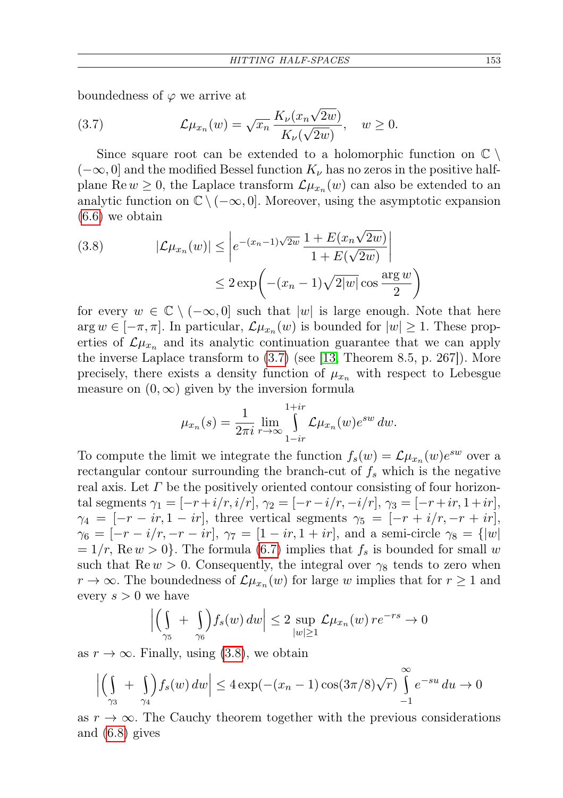boundedness of  $\varphi$  we arrive at

(3.7) 
$$
\mathcal{L}\mu_{x_n}(w) = \sqrt{x_n} \frac{K_{\nu}(x_n \sqrt{2w})}{K_{\nu}(\sqrt{2w})}, \quad w \ge 0.
$$

Since square root can be extended to a holomorphic function on  $\mathbb{C} \setminus$  $(-\infty, 0]$  and the modified Bessel function  $K_{\nu}$  has no zeros in the positive halfplane Re  $w \geq 0$ , the Laplace transform  $\mathcal{L}\mu_{x_n}(w)$  can also be extended to an analytic function on  $\mathbb{C} \setminus (-\infty, 0]$ . Moreover, using the asymptotic expansion [\(6.6\)](#page-21-1) we obtain

(3.8) 
$$
|\mathcal{L}\mu_{x_n}(w)| \leq \left| e^{-(x_n-1)\sqrt{2w}} \frac{1 + E(x_n\sqrt{2w})}{1 + E(\sqrt{2w})} \right|
$$

$$
\leq 2 \exp\left( -(x_n - 1)\sqrt{2|w|} \cos \frac{\arg w}{2} \right)
$$

for every  $w \in \mathbb{C} \setminus (-\infty, 0]$  such that  $|w|$  is large enough. Note that here  $\arg w \in [-\pi, \pi]$ . In particular,  $\mathcal{L}\mu_{x_n}(w)$  is bounded for  $|w| \geq 1$ . These properties of  $\mathcal{L}\mu_{x_n}$  and its analytic continuation guarantee that we can apply the inverse Laplace transform to [\(3.7\)](#page-7-0) (see [\[13,](#page-26-4) Theorem 8.5, p. 267]). More precisely, there exists a density function of  $\mu_{x_n}$  with respect to Lebesgue measure on  $(0, \infty)$  given by the inversion formula

$$
\mu_{x_n}(s) = \frac{1}{2\pi i} \lim_{r \to \infty} \int_{1-ir}^{1+ir} \mathcal{L}\mu_{x_n}(w) e^{sw} dw.
$$

To compute the limit we integrate the function  $f_s(w) = \mathcal{L}\mu_{x_n}(w)e^{sw}$  over a rectangular contour surrounding the branch-cut of  $f_s$  which is the negative real axis. Let  $\Gamma$  be the positively oriented contour consisting of four horizontal segments  $\gamma_1 = [-r+i/r, i/r], \gamma_2 = [-r-i/r, -i/r], \gamma_3 = [-r+ir, 1+ir],$  $\gamma_4 = [-r - ir, 1 - ir]$ , three vertical segments  $\gamma_5 = [-r + i/r, -r + ir]$ ,  $\gamma_6 = [-r - i/r, -r - ir], \gamma_7 = [1 - ir, 1 + ir],$  and a semi-circle  $\gamma_8 = \{ |w|$  $= 1/r$ , Re  $w > 0$ . The formula [\(6.7\)](#page-21-2) implies that  $f_s$  is bounded for small w such that  $\text{Re } w > 0$ . Consequently, the integral over  $\gamma_8$  tends to zero when  $r \to \infty$ . The boundedness of  $\mathcal{L}\mu_{x_n}(w)$  for large w implies that for  $r \geq 1$  and every  $s > 0$  we have

$$
\left| \left( \int_{\gamma_5} + \int_{\gamma_6} \int f_s(w) \, dw \right| \leq 2 \sup_{|w| \geq 1} \mathcal{L} \mu_{x_n}(w) \, r e^{-rs} \to 0
$$

as  $r \to \infty$ . Finally, using [\(3.8\)](#page-7-0), we obtain

$$
\left| \left( \int_{\gamma_3} + \int_{\gamma_4} \int_{\gamma_4} f_s(w) \, dw \right| \le 4 \exp(-(x_n - 1) \cos(3\pi/8) \sqrt{r}) \int_{-1}^{\infty} e^{-su} \, du \to 0
$$

as  $r \to \infty$ . The Cauchy theorem together with the previous considerations and [\(6.8\)](#page-21-3) gives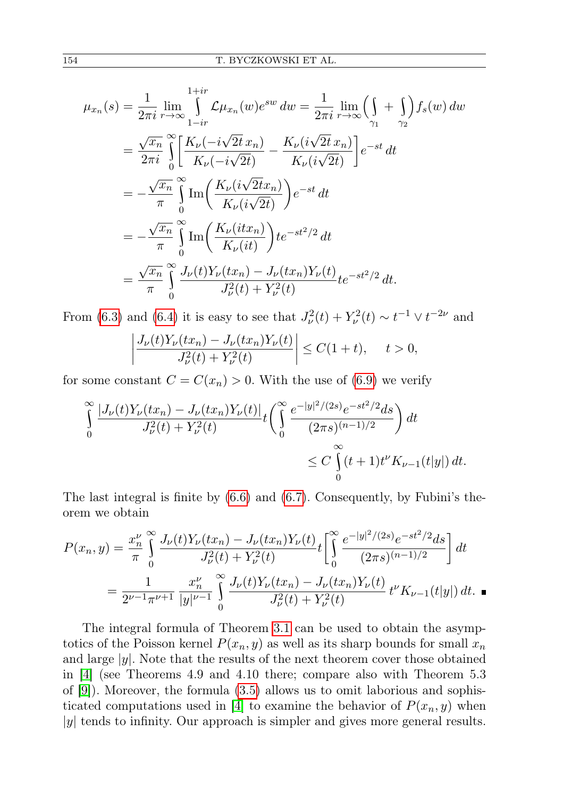$$
\mu_{x_n}(s) = \frac{1}{2\pi i} \lim_{r \to \infty} \int_{1-ir}^{1+ir} \mathcal{L}\mu_{x_n}(w) e^{sw} dw = \frac{1}{2\pi i} \lim_{r \to \infty} \left( \int_{\gamma_1} + \int_{\gamma_2} \right) f_s(w) dw
$$
  
\n
$$
= \frac{\sqrt{x_n}}{2\pi i} \int_{0}^{\infty} \left[ \frac{K_{\nu}(-i\sqrt{2t} x_n)}{K_{\nu}(-i\sqrt{2t})} - \frac{K_{\nu}(i\sqrt{2t} x_n)}{K_{\nu}(i\sqrt{2t})} \right] e^{-st} dt
$$
  
\n
$$
= -\frac{\sqrt{x_n}}{\pi} \int_{0}^{\infty} \text{Im}\left( \frac{K_{\nu}(i\sqrt{2t} x_n)}{K_{\nu}(i\sqrt{2t})} \right) e^{-st} dt
$$
  
\n
$$
= -\frac{\sqrt{x_n}}{\pi} \int_{0}^{\infty} \text{Im}\left( \frac{K_{\nu}(it x_n)}{K_{\nu}(it)} \right) t e^{-st^2/2} dt
$$
  
\n
$$
= \frac{\sqrt{x_n}}{\pi} \int_{0}^{\infty} \frac{J_{\nu}(t)Y_{\nu}(t x_n) - J_{\nu}(t x_n)Y_{\nu}(t)}{J_{\nu}^2(t) + Y_{\nu}^2(t)} t e^{-st^2/2} dt.
$$

From [\(6.3\)](#page-21-4) and [\(6.4\)](#page-21-4) it is easy to see that  $J_{\nu}^2(t) + Y_{\nu}^2(t) \sim t^{-1} \vee t^{-2\nu}$  and

$$
\left| \frac{J_{\nu}(t)Y_{\nu}(tx_n) - J_{\nu}(tx_n)Y_{\nu}(t)}{J_{\nu}^2(t) + Y_{\nu}^2(t)} \right| \le C(1+t), \quad t > 0,
$$

for some constant  $C = C(x_n) > 0$ . With the use of [\(6.9\)](#page-22-0) we verify

$$
\int_{0}^{\infty} \frac{|J_{\nu}(t)Y_{\nu}(tx_{n}) - J_{\nu}(tx_{n})Y_{\nu}(t)|}{J_{\nu}^{2}(t) + Y_{\nu}^{2}(t)} t\left(\int_{0}^{\infty} \frac{e^{-|y|^{2}/(2s)}e^{-st^{2}/2}ds}{(2\pi s)^{(n-1)/2}}\right) dt
$$
  

$$
\leq C \int_{0}^{\infty} (t+1)t^{V} K_{\nu-1}(t|y|) dt.
$$

The last integral is finite by [\(6.6\)](#page-21-1) and [\(6.7\)](#page-21-2). Consequently, by Fubini's theorem we obtain

$$
P(x_n, y) = \frac{x_n^{\nu}}{\pi} \int_0^{\infty} \frac{J_{\nu}(t)Y_{\nu}(tx_n) - J_{\nu}(tx_n)Y_{\nu}(t)}{J_{\nu}^2(t) + Y_{\nu}^2(t)} t \left[ \int_0^{\infty} \frac{e^{-|y|^2/(2s)}e^{-st^2/2}ds}{(2\pi s)^{(n-1)/2}} \right] dt
$$
  
= 
$$
\frac{1}{2^{\nu-1}\pi^{\nu+1}} \frac{x_n^{\nu}}{|y|^{\nu-1}} \int_0^{\infty} \frac{J_{\nu}(t)Y_{\nu}(tx_n) - J_{\nu}(tx_n)Y_{\nu}(t)}{J_{\nu}^2(t) + Y_{\nu}^2(t)} t^{\nu} K_{\nu-1}(t|y|) dt.
$$

<span id="page-9-0"></span>The integral formula of Theorem [3.1](#page-7-1) can be used to obtain the asymptotics of the Poisson kernel  $P(x_n, y)$  as well as its sharp bounds for small  $x_n$ and large  $|y|$ . Note that the results of the next theorem cover those obtained in [\[4\]](#page-25-4) (see Theorems 4.9 and 4.10 there; compare also with Theorem 5.3 of [\[9\]](#page-25-7)). Moreover, the formula [\(3.5\)](#page-7-0) allows us to omit laborious and sophis-ticated computations used in [\[4\]](#page-25-4) to examine the behavior of  $P(x_n, y)$  when  $|y|$  tends to infinity. Our approach is simpler and gives more general results.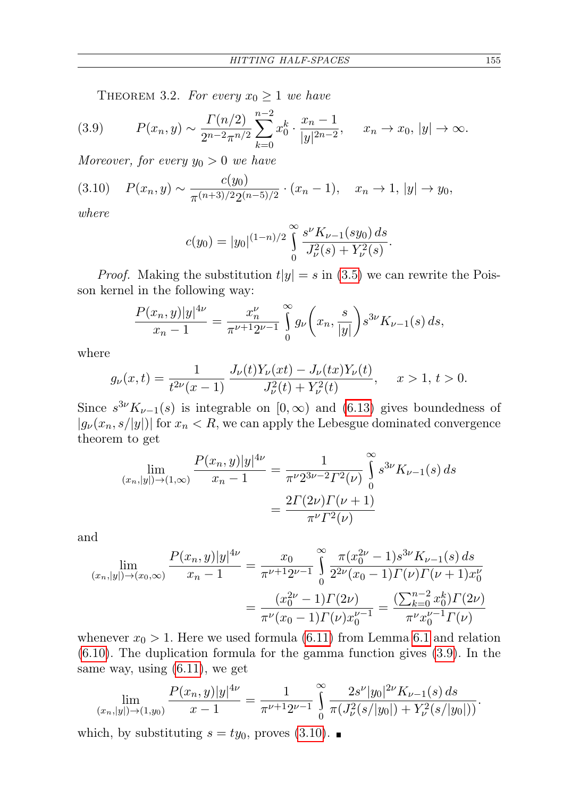<span id="page-10-0"></span>THEOREM 3.2. For every  $x_0 \geq 1$  we have

$$
(3.9) \tP(x_n, y) \sim \frac{\Gamma(n/2)}{2^{n-2}\pi^{n/2}} \sum_{k=0}^{n-2} x_0^k \cdot \frac{x_n - 1}{|y|^{2n-2}}, \t x_n \to x_0, |y| \to \infty.
$$

Moreover, for every  $y_0 > 0$  we have

$$
(3.10) \quad P(x_n, y) \sim \frac{c(y_0)}{\pi^{(n+3)/2} 2^{(n-5)/2}} \cdot (x_n - 1), \quad x_n \to 1, |y| \to y_0,
$$

where

$$
c(y_0) = |y_0|^{(1-n)/2} \int_0^\infty \frac{s^{\nu} K_{\nu-1}(sy_0) ds}{J_\nu^2(s) + Y_\nu^2(s)}.
$$

*Proof.* Making the substitution  $t|y| = s$  in [\(3.5\)](#page-7-0) we can rewrite the Poisson kernel in the following way:

$$
\frac{P(x_n, y)|y|^{4\nu}}{x_n - 1} = \frac{x_n^{\nu}}{\pi^{\nu+1} 2^{\nu-1}} \int_0^\infty g_\nu\left(x_n, \frac{s}{|y|}\right) s^{3\nu} K_{\nu-1}(s) \, ds,
$$

where

$$
g_{\nu}(x,t) = \frac{1}{t^{2\nu}(x-1)} \frac{J_{\nu}(t)Y_{\nu}(xt) - J_{\nu}(tx)Y_{\nu}(t)}{J_{\nu}^{2}(t) + Y_{\nu}^{2}(t)}, \quad x > 1, t > 0.
$$

Since  $s^{3\nu}K_{\nu-1}(s)$  is integrable on  $[0,\infty)$  and  $(6.13)$  gives boundedness of  $|g_{\nu}(x_n, s/|y|)|$  for  $x_n < R$ , we can apply the Lebesgue dominated convergence theorem to get

$$
\lim_{(x_n,|y|)\to(1,\infty)}\frac{P(x_n,y)|y|^{4\nu}}{x_n-1} = \frac{1}{\pi^{\nu}2^{3\nu-2}\Gamma^2(\nu)}\int_{0}^{\infty} s^{3\nu}K_{\nu-1}(s)\,ds
$$

$$
= \frac{2\Gamma(2\nu)\Gamma(\nu+1)}{\pi^{\nu}\Gamma^2(\nu)}
$$

and

$$
\lim_{(x_n,|y|)\to(x_0,\infty)}\frac{P(x_n,y)|y|^{4\nu}}{x_n-1} = \frac{x_0}{\pi^{\nu+1}2^{\nu-1}}\int_0^\infty \frac{\pi(x_0^{2\nu}-1)s^{3\nu}K_{\nu-1}(s)\,ds}{2^{2\nu}(x_0-1)\Gamma(\nu)\Gamma(\nu+1)x_0^{\nu}}
$$

$$
= \frac{(x_0^{2\nu}-1)\Gamma(2\nu)}{\pi^{\nu}(x_0-1)\Gamma(\nu)x_0^{\nu-1}} = \frac{\left(\sum_{k=0}^{n-2}x_0^k\right)\Gamma(2\nu)}{\pi^{\nu}x_0^{\nu-1}\Gamma(\nu)}
$$

whenever  $x_0 > 1$ . Here we used formula [\(6.11\)](#page-22-1) from Lemma [6.1](#page-22-1) and relation [\(6.10\)](#page-22-2). The duplication formula for the gamma function gives [\(3.9\)](#page-10-0). In the same way, using [\(6.11\)](#page-22-1), we get

$$
\lim_{(x_n,|y|)\to(1,y_0)}\frac{P(x_n,y)|y|^{4\nu}}{x-1}=\frac{1}{\pi^{\nu+1}2^{\nu-1}}\int_{0}^{\infty}\frac{2s^{\nu}|y_0|^{2\nu}K_{\nu-1}(s)\,ds}{\pi(J_{\nu}^2(s/|y_0|)+Y_{\nu}^2(s/|y_0|))}.
$$

which, by substituting  $s = ty_0$ , proves [\(3.10\)](#page-10-0).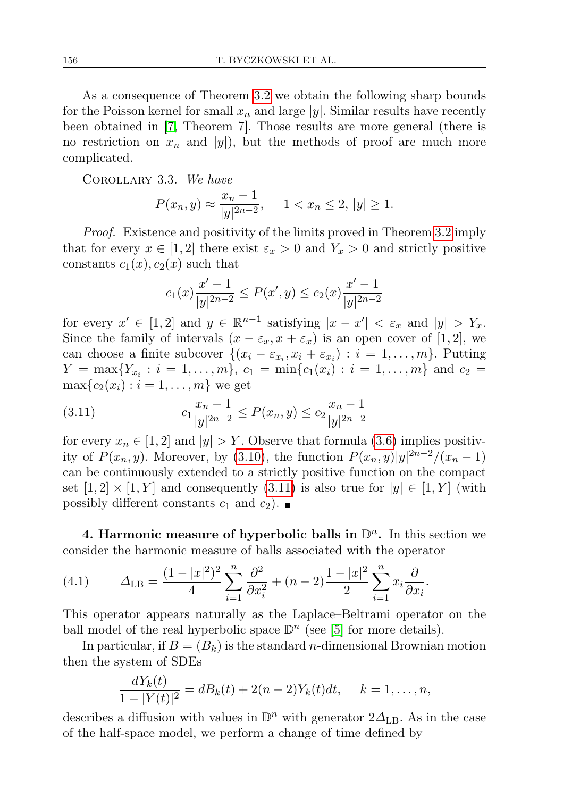As a consequence of Theorem [3.2](#page-9-0) we obtain the following sharp bounds for the Poisson kernel for small  $x_n$  and large |y|. Similar results have recently been obtained in [\[7,](#page-25-2) Theorem 7]. Those results are more general (there is no restriction on  $x_n$  and  $|y|$ , but the methods of proof are much more complicated.

<span id="page-11-0"></span>Corollary 3.3. We have

$$
P(x_n, y) \approx \frac{x_n - 1}{|y|^{2n - 2}}, \quad 1 < x_n \le 2, \, |y| \ge 1.
$$

Proof. Existence and positivity of the limits proved in Theorem [3.2](#page-9-0) imply that for every  $x \in [1,2]$  there exist  $\varepsilon_x > 0$  and  $Y_x > 0$  and strictly positive constants  $c_1(x)$ ,  $c_2(x)$  such that

$$
c_1(x)\frac{x'-1}{|y|^{2n-2}} \le P(x',y) \le c_2(x)\frac{x'-1}{|y|^{2n-2}}
$$

for every  $x' \in [1,2]$  and  $y \in \mathbb{R}^{n-1}$  satisfying  $|x-x'| < \varepsilon_x$  and  $|y| > Y_x$ . Since the family of intervals  $(x - \varepsilon_x, x + \varepsilon_x)$  is an open cover of [1, 2], we can choose a finite subcover  $\{(x_i - \varepsilon_{x_i}, x_i + \varepsilon_{x_i}) : i = 1, \ldots, m\}$ . Putting  $Y = \max\{Y_{x_i} : i = 1, \ldots, m\}, c_1 = \min\{c_1(x_i) : i = 1, \ldots, m\}$  and  $c_2 =$  $\max\{c_2(x_i) : i = 1, \ldots, m\}$  we get

(3.11) 
$$
c_1 \frac{x_n - 1}{|y|^{2n - 2}} \le P(x_n, y) \le c_2 \frac{x_n - 1}{|y|^{2n - 2}}
$$

for every  $x_n \in [1,2]$  and  $|y| > Y$ . Observe that formula [\(3.6\)](#page-7-0) implies positivity of  $P(x_n, y)$ . Moreover, by [\(3.10\)](#page-10-0), the function  $P(x_n, y)|y|^{2n-2}/(x_n-1)$ can be continuously extended to a strictly positive function on the compact set  $[1, 2] \times [1, Y]$  and consequently  $(3.11)$  is also true for  $|y| \in [1, Y]$  (with possibly different constants  $c_1$  and  $c_2$ ).

<span id="page-11-1"></span>4. Harmonic measure of hyperbolic balls in  $\mathbb{D}^n$ . In this section we consider the harmonic measure of balls associated with the operator

(4.1) 
$$
\Delta_{\text{LB}} = \frac{(1-|x|^2)^2}{4} \sum_{i=1}^n \frac{\partial^2}{\partial x_i^2} + (n-2) \frac{1-|x|^2}{2} \sum_{i=1}^n x_i \frac{\partial}{\partial x_i}.
$$

This operator appears naturally as the Laplace–Beltrami operator on the ball model of the real hyperbolic space  $\mathbb{D}^n$  (see [\[5\]](#page-25-6) for more details).

In particular, if  $B = (B_k)$  is the standard *n*-dimensional Brownian motion then the system of SDEs

$$
\frac{dY_k(t)}{1-|Y(t)|^2} = dB_k(t) + 2(n-2)Y_k(t)dt, \quad k = 1, \dots, n,
$$

describes a diffusion with values in  $\mathbb{D}^n$  with generator  $2\Delta_{\text{LB}}$ . As in the case of the half-space model, we perform a change of time defined by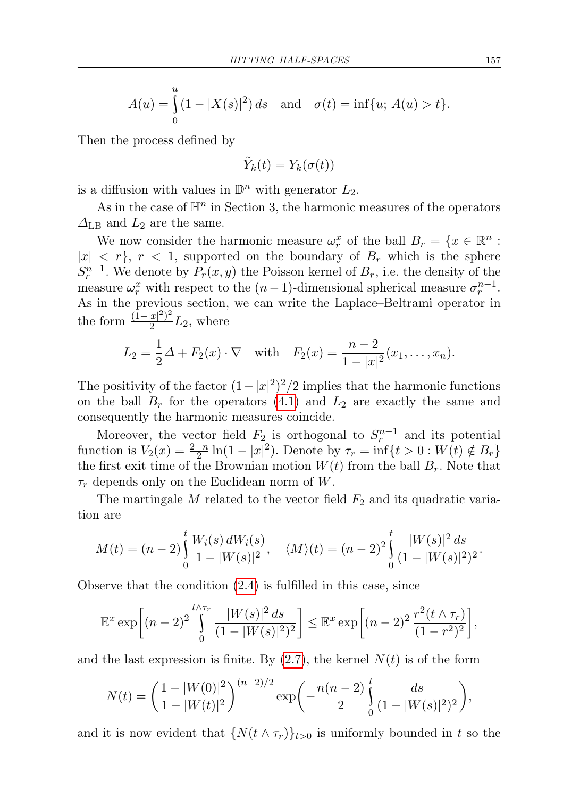$$
A(u) = \int_{0}^{u} (1 - |X(s)|^2) ds \text{ and } \sigma(t) = \inf\{u; A(u) > t\}.
$$

Then the process defined by

$$
\tilde{Y}_k(t) = Y_k(\sigma(t))
$$

is a diffusion with values in  $\mathbb{D}^n$  with generator  $L_2$ .

As in the case of  $\mathbb{H}^n$  in Section 3, the harmonic measures of the operators  $\Delta_{\text{LB}}$  and  $L_2$  are the same.

We now consider the harmonic measure  $\omega_r^x$  of the ball  $B_r = \{x \in \mathbb{R}^n :$  $|x| < r$ ,  $r < 1$ , supported on the boundary of  $B_r$  which is the sphere  $S_r^{n-1}$ . We denote by  $P_r(x, y)$  the Poisson kernel of  $B_r$ , i.e. the density of the measure  $\omega_r^x$  with respect to the  $(n-1)$ -dimensional spherical measure  $\sigma_r^{n-1}$ . As in the previous section, we can write the Laplace–Beltrami operator in the form  $\frac{(1-|x|^2)^2}{2}$  $\frac{|x|-1}{2}L_2$ , where

$$
L_2 = \frac{1}{2}\Delta + F_2(x) \cdot \nabla \text{ with } F_2(x) = \frac{n-2}{1-|x|^2}(x_1, \dots, x_n).
$$

The positivity of the factor  $(1-|x|^2)^2/2$  implies that the harmonic functions on the ball  $B_r$  for the operators [\(4.1\)](#page-11-1) and  $L_2$  are exactly the same and consequently the harmonic measures coincide.

Moreover, the vector field  $F_2$  is orthogonal to  $S_r^{n-1}$  and its potential function is  $V_2(x) = \frac{2-n}{2} \ln(1-|x|^2)$ . Denote by  $\tau_r = \inf\{t > 0 : W(t) \notin B_r\}$ the first exit time of the Brownian motion  $W(t)$  from the ball  $B_r$ . Note that  $\tau_r$  depends only on the Euclidean norm of W.

The martingale M related to the vector field  $F_2$  and its quadratic variation are

$$
M(t) = (n-2)\int_{0}^{t} \frac{W_i(s) dW_i(s)}{1-|W(s)|^2}, \quad \langle M \rangle(t) = (n-2)^2 \int_{0}^{t} \frac{|W(s)|^2 ds}{(1-|W(s)|^2)^2}.
$$

Observe that the condition [\(2.4\)](#page-3-4) is fulfilled in this case, since

$$
\mathbb{E}^x \exp\left[ (n-2)^2 \int_0^{t \wedge \tau_r} \frac{|W(s)|^2 ds}{(1-|W(s)|^2)^2} \right] \leq \mathbb{E}^x \exp\left[ (n-2)^2 \frac{r^2 (t \wedge \tau_r)}{(1-r^2)^2} \right],
$$

and the last expression is finite. By  $(2.7)$ , the kernel  $N(t)$  is of the form

$$
N(t) = \left(\frac{1-|W(0)|^2}{1-|W(t)|^2}\right)^{(n-2)/2} \exp\left(-\frac{n(n-2)}{2}\int_0^t \frac{ds}{(1-|W(s)|^2)^2}\right),
$$

and it is now evident that  $\{N(t \wedge \tau_r)\}_{t>0}$  is uniformly bounded in t so the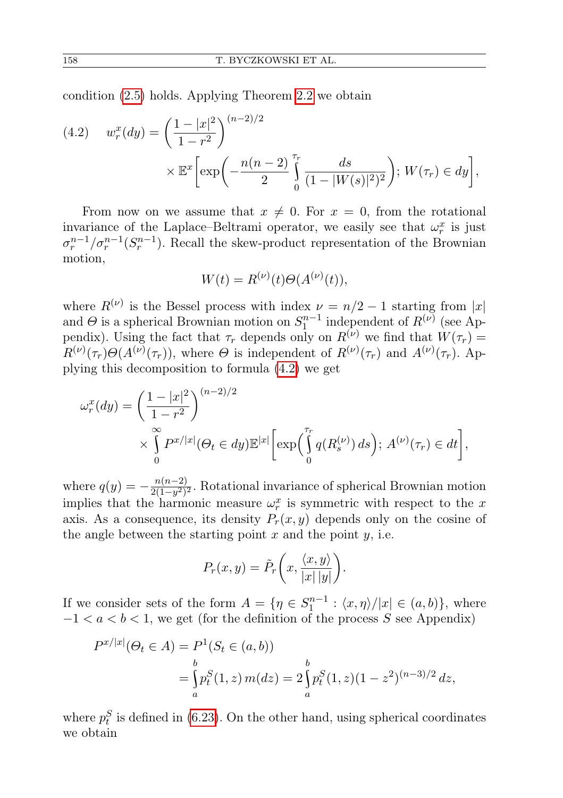condition [\(2.5\)](#page-3-2) holds. Applying Theorem [2.2](#page-3-3) we obtain

(4.2) 
$$
w_r^x(dy) = \left(\frac{1-|x|^2}{1-r^2}\right)^{(n-2)/2} \times \mathbb{E}^x \left[\exp\left(-\frac{n(n-2)}{2}\int_0^{\tau_r} \frac{ds}{(1-|W(s)|^2)^2}\right); W(\tau_r) \in dy\right],
$$

From now on we assume that  $x \neq 0$ . For  $x = 0$ , from the rotational invariance of the Laplace–Beltrami operator, we easily see that  $\omega_r^x$  is just  $\sigma_r^{n-1}/\sigma_r^{n-1}(S_r^{n-1})$ . Recall the skew-product representation of the Brownian motion,

$$
W(t) = R^{(\nu)}(t)\Theta(A^{(\nu)}(t)),
$$

where  $R^{(\nu)}$  is the Bessel process with index  $\nu = n/2 - 1$  starting from |x| and  $\Theta$  is a spherical Brownian motion on  $S_1^{n-1}$  independent of  $R^{(\nu)}$  (see Appendix). Using the fact that  $\tau_r$  depends only on  $R^{(\nu)}$  we find that  $W(\tau_r)$  $R^{(\nu)}(\tau_r)\Theta(A^{(\nu)}(\tau_r))$ , where  $\Theta$  is independent of  $R^{(\nu)}(\tau_r)$  and  $A^{(\nu)}(\tau_r)$ . Applying this decomposition to formula [\(4.2\)](#page-11-1) we get

$$
\omega_r^x(dy) = \left(\frac{1-|x|^2}{1-r^2}\right)^{(n-2)/2}
$$
  
 
$$
\times \int_0^\infty P^{x/|x|}(\Theta_t \in dy) \mathbb{E}^{|x|} \bigg[ \exp\bigg(\int_0^{\tau_r} q(R_s^{(\nu)}) ds\bigg); A^{(\nu)}(\tau_r) \in dt \bigg],
$$

where  $q(y) = -\frac{n(n-2)}{2(1-x^2)}$  $\frac{n(n-2)}{2(1-y^2)^2}$ . Rotational invariance of spherical Brownian motion implies that the harmonic measure  $\omega_r^x$  is symmetric with respect to the x axis. As a consequence, its density  $P_r(x, y)$  depends only on the cosine of the angle between the starting point  $x$  and the point  $y$ , i.e.

$$
P_r(x,y) = \tilde{P}_r\bigg(x, \frac{\langle x, y \rangle}{|x| |y|}\bigg).
$$

If we consider sets of the form  $A = \{ \eta \in S_1^{n-1} : \langle x, \eta \rangle / |x| \in (a, b) \}$ , where  $-1 < a < b < 1$ , we get (for the definition of the process S see Appendix)

$$
P^{x/|x|}(\Theta_t \in A) = P^1(S_t \in (a, b))
$$
  
= 
$$
\int_a^b p_t^S(1, z) m(dz) = 2 \int_a^b p_t^S(1, z) (1 - z^2)^{(n-3)/2} dz,
$$

where  $p_t^S$  is defined in [\(6.23\)](#page-25-8). On the other hand, using spherical coordinates we obtain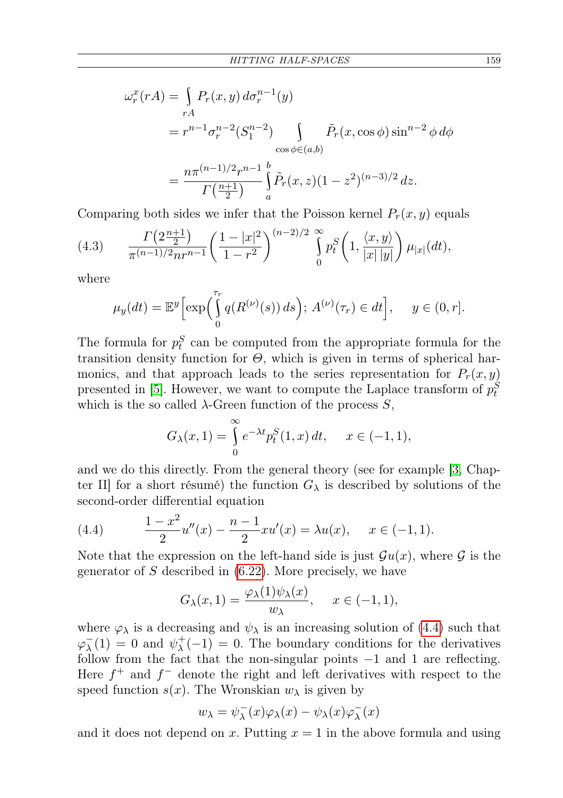$$
\omega_r^x(rA) = \int_{rA} P_r(x, y) d\sigma_r^{n-1}(y)
$$
  
=  $r^{n-1} \sigma_r^{n-2} (S_1^{n-2}) \int_{\cos \phi \in (a, b)} \tilde{P}_r(x, \cos \phi) \sin^{n-2} \phi d\phi$   
=  $\frac{n\pi^{(n-1)/2} r^{n-1}}{\Gamma(\frac{n+1}{2})} \int_a^b \tilde{P}_r(x, z) (1 - z^2)^{(n-3)/2} dz.$ 

Comparing both sides we infer that the Poisson kernel  $P_r(x, y)$  equals

(4.3) 
$$
\frac{\Gamma\left(2\frac{n+1}{2}\right)}{\pi^{(n-1)/2}nr^{n-1}}\left(\frac{1-|x|^2}{1-r^2}\right)^{(n-2)/2} \bigcap_{0}^{\infty} p_t^S\left(1, \frac{\langle x, y \rangle}{|x||y|}\right) \mu_{|x|}(dt),
$$

where

$$
\mu_y(dt) = \mathbb{E}^y \Big[ \exp\Big( \int_0^{\tau_r} q(R^{(\nu)}(s)) ds \Big); \ A^{(\nu)}(\tau_r) \in dt \Big], \quad y \in (0, r].
$$

The formula for  $p_t^S$  can be computed from the appropriate formula for the transition density function for  $\Theta$ , which is given in terms of spherical harmonics, and that approach leads to the series representation for  $P_r(x, y)$ presented in [\[5\]](#page-25-6). However, we want to compute the Laplace transform of  $p_t^S$ which is the so called  $\lambda$ -Green function of the process S,

$$
G_{\lambda}(x,1) = \int_{0}^{\infty} e^{-\lambda t} p_t^S(1,x) dt, \quad x \in (-1,1),
$$

and we do this directly. From the general theory (see for example [\[3,](#page-25-9) Chapter II] for a short résumé) the function  $G_{\lambda}$  is described by solutions of the second-order differential equation

<span id="page-14-0"></span>(4.4) 
$$
\frac{1-x^2}{2}u''(x) - \frac{n-1}{2}xu'(x) = \lambda u(x), \quad x \in (-1,1).
$$

Note that the expression on the left-hand side is just  $\mathcal{G}u(x)$ , where  $\mathcal G$  is the generator of  $S$  described in  $(6.22)$ . More precisely, we have

$$
G_{\lambda}(x,1) = \frac{\varphi_{\lambda}(1)\psi_{\lambda}(x)}{w_{\lambda}}, \quad x \in (-1,1),
$$

where  $\varphi_{\lambda}$  is a decreasing and  $\psi_{\lambda}$  is an increasing solution of [\(4.4\)](#page-14-0) such that  $\varphi_{\lambda}^{\perp}$  $\overline{\lambda}(1) = 0$  and  $\psi_{\lambda}^{+}$  $\lambda^{+}(-1) = 0$ . The boundary conditions for the derivatives follow from the fact that the non-singular points −1 and 1 are reflecting. Here  $f^+$  and  $f^-$  denote the right and left derivatives with respect to the speed function  $s(x)$ . The Wronskian  $w_{\lambda}$  is given by

$$
w_\lambda = \psi_\lambda^-(x) \varphi_\lambda(x) - \psi_\lambda(x) \varphi_\lambda^-(x)
$$

and it does not depend on x. Putting  $x = 1$  in the above formula and using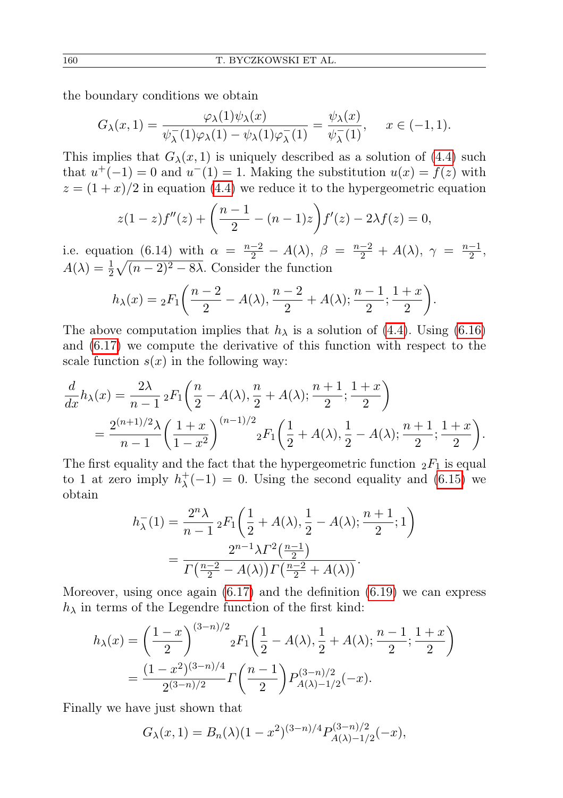the boundary conditions we obtain

$$
G_{\lambda}(x,1) = \frac{\varphi_{\lambda}(1)\psi_{\lambda}(x)}{\psi_{\lambda}^{-}(1)\varphi_{\lambda}(1) - \psi_{\lambda}(1)\varphi_{\lambda}^{-}(1)} = \frac{\psi_{\lambda}(x)}{\psi_{\lambda}^{-}(1)}, \quad x \in (-1,1).
$$

This implies that  $G_{\lambda}(x, 1)$  is uniquely described as a solution of [\(4.4\)](#page-14-0) such that  $u^+(-1) = 0$  and  $u^-(1) = 1$ . Making the substitution  $u(x) = f(z)$  with  $z = (1 + x)/2$  in equation [\(4.4\)](#page-14-0) we reduce it to the hypergeometric equation

$$
z(1-z)f''(z) + \left(\frac{n-1}{2} - (n-1)z\right)f'(z) - 2\lambda f(z) = 0,
$$

i.e. equation (6.14) with  $\alpha = \frac{n-2}{2} - A(\lambda)$ ,  $\beta = \frac{n-2}{2} + A(\lambda)$ ,  $\gamma = \frac{n-1}{2}$  $\frac{-1}{2}$ ,  $A(\lambda) = \frac{1}{2}\sqrt{(n-2)^2 - 8\lambda}$ . Consider the function

$$
h_{\lambda}(x) = {}_{2}F_{1}\left(\frac{n-2}{2} - A(\lambda), \frac{n-2}{2} + A(\lambda); \frac{n-1}{2}; \frac{1+x}{2}\right).
$$

The above computation implies that  $h_{\lambda}$  is a solution of [\(4.4\)](#page-14-0). Using [\(6.16\)](#page-23-1) and [\(6.17\)](#page-23-2) we compute the derivative of this function with respect to the scale function  $s(x)$  in the following way:

$$
\frac{d}{dx}h_{\lambda}(x) = \frac{2\lambda}{n-1} {}_{2}F_{1}\left(\frac{n}{2} - A(\lambda), \frac{n}{2} + A(\lambda); \frac{n+1}{2}; \frac{1+x}{2}\right)
$$

$$
= \frac{2^{(n+1)/2}\lambda}{n-1} \left(\frac{1+x}{1-x^{2}}\right)^{(n-1)/2} {}_{2}F_{1}\left(\frac{1}{2} + A(\lambda), \frac{1}{2} - A(\lambda); \frac{n+1}{2}; \frac{1+x}{2}\right).
$$

The first equality and the fact that the hypergeometric function  ${}_2F_1$  is equal to 1 at zero imply  $h_{\lambda}^{+}$  $\chi^+(-1) = 0$ . Using the second equality and [\(6.15\)](#page-23-3) we obtain

$$
h_{\lambda}^{-}(1) = \frac{2^{n}\lambda}{n-1} {}_{2}F_{1}\left(\frac{1}{2} + A(\lambda), \frac{1}{2} - A(\lambda); \frac{n+1}{2}; 1\right)
$$
  
= 
$$
\frac{2^{n-1}\lambda \Gamma^{2}(\frac{n-1}{2})}{\Gamma(\frac{n-2}{2} - A(\lambda))\Gamma(\frac{n-2}{2} + A(\lambda))}.
$$

Moreover, using once again [\(6.17\)](#page-23-2) and the definition [\(6.19\)](#page-23-4) we can express  $h_{\lambda}$  in terms of the Legendre function of the first kind:

$$
h_{\lambda}(x) = \left(\frac{1-x}{2}\right)^{(3-n)/2} {}_{2}F_{1}\left(\frac{1}{2} - A(\lambda), \frac{1}{2} + A(\lambda); \frac{n-1}{2}; \frac{1+x}{2}\right)
$$
  
= 
$$
\frac{(1-x^{2})^{(3-n)/4}}{2^{(3-n)/2}} \Gamma\left(\frac{n-1}{2}\right) P_{A(\lambda)-1/2}^{(3-n)/2}(-x).
$$

Finally we have just shown that

$$
G_{\lambda}(x,1) = B_n(\lambda)(1-x^2)^{(3-n)/4} P_{A(\lambda)-1/2}^{(3-n)/2}(-x),
$$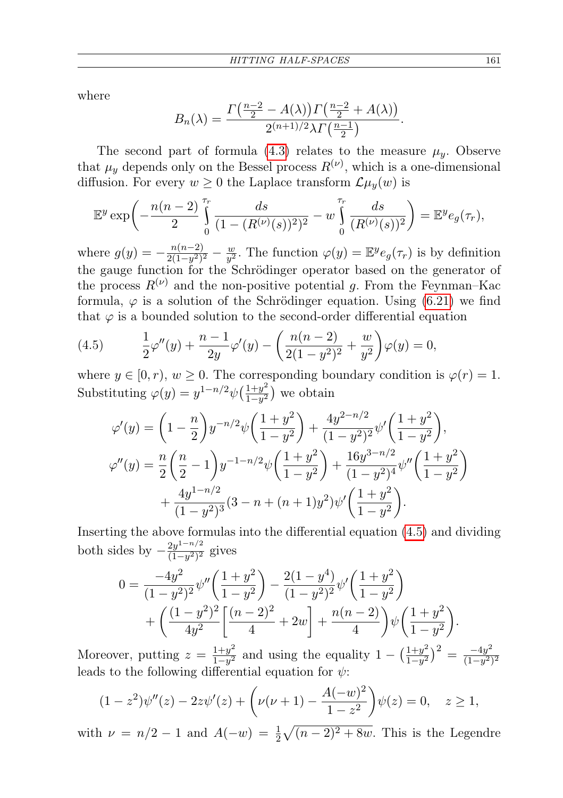where

$$
B_n(\lambda) = \frac{\Gamma\left(\frac{n-2}{2} - A(\lambda)\right)\Gamma\left(\frac{n-2}{2} + A(\lambda)\right)}{2^{(n+1)/2}\lambda\Gamma\left(\frac{n-1}{2}\right)}.
$$

The second part of formula [\(4.3\)](#page-11-1) relates to the measure  $\mu_y$ . Observe that  $\mu_y$  depends only on the Bessel process  $R^{(\nu)}$ , which is a one-dimensional diffusion. For every  $w \geq 0$  the Laplace transform  $\mathcal{L}\mu_y(w)$  is

$$
\mathbb{E}^y \exp \left(-\frac{n(n-2)}{2} \int_0^{\tau_r} \frac{ds}{(1 - (R^{(\nu)}(s))^2)^2} - w \int_0^{\tau_r} \frac{ds}{(R^{(\nu)}(s))^2} \right) = \mathbb{E}^y e_g(\tau_r),
$$

where  $g(y) = -\frac{n(n-2)}{2(1-n^2)}$  $\frac{n(n-2)}{2(1-y^2)^2} - \frac{w}{y^2}$  $\frac{w}{y^2}$ . The function  $\varphi(y) = \mathbb{E}^y e_g(\tau_r)$  is by definition the gauge function for the Schrödinger operator based on the generator of the process  $R^{(\nu)}$  and the non-positive potential g. From the Feynman–Kac formula,  $\varphi$  is a solution of the Schrödinger equation. Using [\(6.21\)](#page-24-0) we find that  $\varphi$  is a bounded solution to the second-order differential equation

<span id="page-16-0"></span>(4.5) 
$$
\frac{1}{2}\varphi''(y) + \frac{n-1}{2y}\varphi'(y) - \left(\frac{n(n-2)}{2(1-y^2)^2} + \frac{w}{y^2}\right)\varphi(y) = 0,
$$

where  $y \in [0, r)$ ,  $w \ge 0$ . The corresponding boundary condition is  $\varphi(r) = 1$ . Substituting  $\varphi(y) = y^{1-n/2} \psi\left(\frac{1+y^2}{1-y^2}\right)$  $\frac{1+y^2}{1-y^2}$  we obtain

$$
\varphi'(y) = \left(1 - \frac{n}{2}\right) y^{-n/2} \psi\left(\frac{1+y^2}{1-y^2}\right) + \frac{4y^{2-n/2}}{(1-y^2)^2} \psi'\left(\frac{1+y^2}{1-y^2}\right),
$$
  

$$
\varphi''(y) = \frac{n}{2}\left(\frac{n}{2} - 1\right) y^{-1-n/2} \psi\left(\frac{1+y^2}{1-y^2}\right) + \frac{16y^{3-n/2}}{(1-y^2)^4} \psi''\left(\frac{1+y^2}{1-y^2}\right) + \frac{4y^{1-n/2}}{(1-y^2)^3} (3-n+(n+1)y^2) \psi'\left(\frac{1+y^2}{1-y^2}\right).
$$

Inserting the above formulas into the differential equation [\(4.5\)](#page-16-0) and dividing both sides by  $-\frac{2y^{1-n/2}}{(1-y^2)^2}$  $\frac{2y^2}{(1-y^2)^2}$  gives

$$
0 = \frac{-4y^2}{(1-y^2)^2} \psi''\left(\frac{1+y^2}{1-y^2}\right) - \frac{2(1-y^4)}{(1-y^2)^2} \psi'\left(\frac{1+y^2}{1-y^2}\right) + \left(\frac{(1-y^2)^2}{4y^2}\left[\frac{(n-2)^2}{4} + 2w\right] + \frac{n(n-2)}{4}\right) \psi\left(\frac{1+y^2}{1-y^2}\right).
$$

Moreover, putting  $z = \frac{1+y^2}{1-y^2}$  $\frac{1+y^2}{1-y^2}$  and using the equality  $1 - \left(\frac{1+y^2}{1-y^2}\right)$  $\frac{1+y^2}{1-y^2}\big)^2 = \frac{-4y^2}{(1-y^2)}$  $(1-y^2)^2$ leads to the following differential equation for  $\psi$ :

$$
(1-z2)\psi''(z) - 2z\psi'(z) + \left(\nu(\nu+1) - \frac{A(-w)^{2}}{1-z^{2}}\right)\psi(z) = 0, \quad z \ge 1,
$$

with  $\nu = n/2 - 1$  and  $A(-w) = \frac{1}{2}\sqrt{(n-2)^2 + 8w}$ . This is the Legendre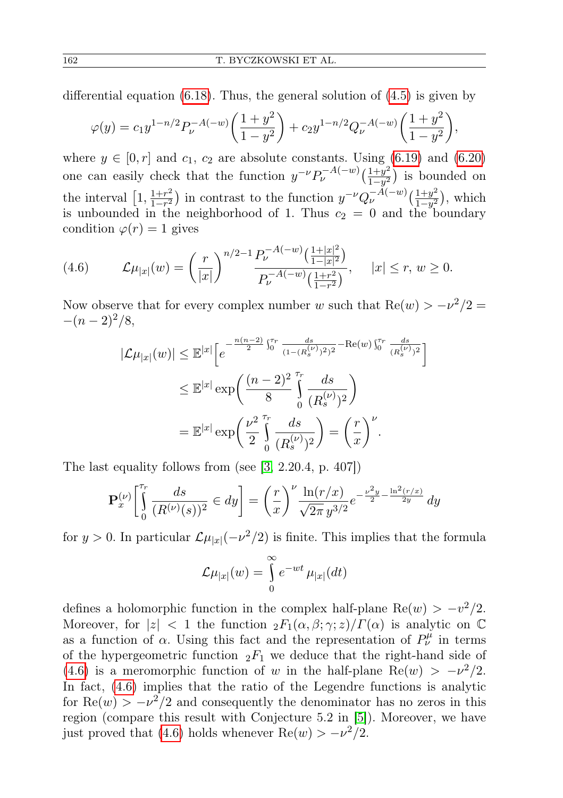differential equation  $(6.18)$ . Thus, the general solution of  $(4.5)$  is given by

$$
\varphi(y) = c_1 y^{1-n/2} P_{\nu}^{-A(-w)} \left( \frac{1+y^2}{1-y^2} \right) + c_2 y^{1-n/2} Q_{\nu}^{-A(-w)} \left( \frac{1+y^2}{1-y^2} \right),
$$

where  $y \in [0, r]$  and  $c_1, c_2$  are absolute constants. Using [\(6.19\)](#page-23-4) and [\(6.20\)](#page-23-4) one can easily check that the function  $y^{-\nu} P_{\nu}^{-A(-w)} \left( \frac{1+y^2}{1-y^2} \right)$  $\frac{1+y^2}{1-y^2}$ ) is bounded on the interval  $\left[1, \frac{1+r^2}{1-r^2}\right]$  $\frac{1+r^2}{1-r^2}$ ) in contrast to the function  $y^{-\nu}Q_{\nu}^{-A(-w)}\left(\frac{1+y^2}{1-y^2}\right)$  $\frac{1+y^2}{1-y^2}$ ), which is unbounded in the neighborhood of 1. Thus  $c_2 = 0$  and the boundary condition  $\varphi(r) = 1$  gives

<span id="page-17-0"></span>
$$
(4.6) \qquad \mathcal{L}\mu_{|x|}(w) = \left(\frac{r}{|x|}\right)^{n/2-1} \frac{P_{\nu}^{-A(-w)}\left(\frac{1+|x|^2}{1-|x|^2}\right)}{P_{\nu}^{-A(-w)}\left(\frac{1+r^2}{1-r^2}\right)}, \quad |x| \le r, \ w \ge 0.
$$

Now observe that for every complex number w such that  $\text{Re}(w) > -\nu^2/2 =$  $-(n-2)^2/8,$ 

$$
|\mathcal{L}\mu_{|x|}(w)| \leq \mathbb{E}^{|x|} \Big[ e^{-\frac{n(n-2)}{2} \int_0^{\tau_r} \frac{ds}{(1-(R_s^{(\nu)})^2)^2} - \text{Re}(w) \int_0^{\tau_r} \frac{ds}{(R_s^{(\nu)})^2}} \Big] \leq \mathbb{E}^{|x|} \exp\left(\frac{(n-2)^2}{8} \int_0^{\tau_r} \frac{ds}{(R_s^{(\nu)})^2}\right) = \mathbb{E}^{|x|} \exp\left(\frac{\nu^2}{2} \int_0^{\tau_r} \frac{ds}{(R_s^{(\nu)})^2}\right) = \left(\frac{r}{x}\right)^{\nu}.
$$

The last equality follows from (see [\[3,](#page-25-9) 2.20.4, p. 407])

$$
\mathbf{P}_x^{(\nu)} \left[ \int_0^{\tau_r} \frac{ds}{(R^{(\nu)}(s))^2} \in dy \right] = \left(\frac{r}{x}\right)^{\nu} \frac{\ln(r/x)}{\sqrt{2\pi} y^{3/2}} e^{-\frac{\nu^2 y}{2} - \frac{\ln^2(r/x)}{2y}} dy
$$

for  $y > 0$ . In particular  $\mathcal{L}\mu_{|x|}(-\nu^2/2)$  is finite. This implies that the formula

$$
\mathcal{L}\mu_{|x|}(w) = \int_{0}^{\infty} e^{-wt} \mu_{|x|}(dt)
$$

defines a holomorphic function in the complex half-plane  $\text{Re}(w) > -v^2/2$ . Moreover, for  $|z| < 1$  the function  ${}_2F_1(\alpha, \beta; \gamma; z)/\Gamma(\alpha)$  is analytic on  $\mathbb C$ as a function of  $\alpha$ . Using this fact and the representation of  $P^{\mu}_{\nu}$  in terms of the hypergeometric function  ${}_2F_1$  we deduce that the right-hand side of [\(4.6\)](#page-17-0) is a meromorphic function of w in the half-plane Re(w) >  $-v^2/2$ . In fact, [\(4.6\)](#page-17-0) implies that the ratio of the Legendre functions is analytic for  $\text{Re}(w) > -\nu^2/2$  and consequently the denominator has no zeros in this region (compare this result with Conjecture 5.2 in [\[5\]](#page-25-6)). Moreover, we have just proved that [\(4.6\)](#page-17-0) holds whenever  $\text{Re}(w) > -\nu^2/2$ .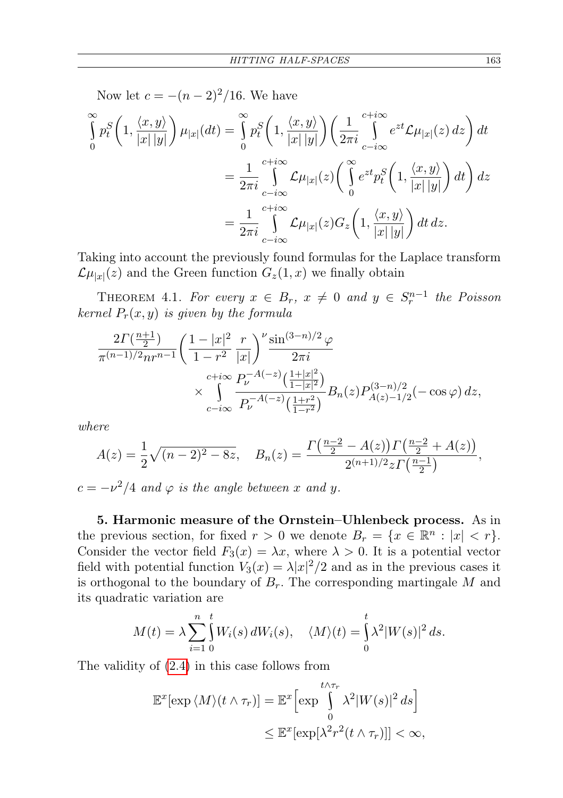Now let  $c = -(n-2)^2/16$ . We have

$$
\int_{0}^{\infty} p_t^S \left( 1, \frac{\langle x, y \rangle}{|x| |y|} \right) \mu_{|x|}(dt) = \int_{0}^{\infty} p_t^S \left( 1, \frac{\langle x, y \rangle}{|x| |y|} \right) \left( \frac{1}{2\pi i} \int_{c-i\infty}^{c+i\infty} e^{zt} \mathcal{L} \mu_{|x|}(z) dz \right) dt
$$
  

$$
= \frac{1}{2\pi i} \int_{c-i\infty}^{c+i\infty} \mathcal{L} \mu_{|x|}(z) \left( \int_{0}^{\infty} e^{zt} p_t^S \left( 1, \frac{\langle x, y \rangle}{|x| |y|} \right) dt \right) dz
$$
  

$$
= \frac{1}{2\pi i} \int_{c-i\infty}^{c+i\infty} \mathcal{L} \mu_{|x|}(z) G_z \left( 1, \frac{\langle x, y \rangle}{|x| |y|} \right) dt dz.
$$

Taking into account the previously found formulas for the Laplace transform  $\mathcal{L}\mu_{|x|}(z)$  and the Green function  $G_z(1,x)$  we finally obtain

THEOREM 4.1. For every  $x \in B_r$ ,  $x \neq 0$  and  $y \in S_r^{n-1}$  the Poisson kernel  $P_r(x, y)$  is given by the formula

$$
\frac{2\Gamma(\frac{n+1}{2})}{\pi^{(n-1)/2}nr^{n-1}} \left(\frac{1-|x|^2}{1-r^2}\frac{r}{|x|}\right)^{\nu} \frac{\sin^{(3-n)/2}\varphi}{2\pi i}
$$
\n
$$
\times \int_{c-i\infty}^{c+i\infty} \frac{P_{\nu}^{-A(-z)}(\frac{1+|x|^2}{1-|x|^2})}{P_{\nu}^{-A(-z)}(\frac{1+r^2}{1-r^2})} B_n(z) P_{A(z)-1/2}^{(3-n)/2}(-\cos\varphi) dz,
$$

where

$$
A(z) = \frac{1}{2}\sqrt{(n-2)^2 - 8z}, \quad B_n(z) = \frac{\Gamma(\frac{n-2}{2} - A(z))\Gamma(\frac{n-2}{2} + A(z))}{2^{(n+1)/2}z\Gamma(\frac{n-1}{2})},
$$

 $c = -\nu^2/4$  and  $\varphi$  is the angle between x and y.

5. Harmonic measure of the Ornstein–Uhlenbeck process. As in the previous section, for fixed  $r > 0$  we denote  $B_r = \{x \in \mathbb{R}^n : |x| < r\}.$ Consider the vector field  $F_3(x) = \lambda x$ , where  $\lambda > 0$ . It is a potential vector field with potential function  $V_3(x) = \lambda |x|^2/2$  and as in the previous cases it is orthogonal to the boundary of  $B_r$ . The corresponding martingale M and its quadratic variation are

$$
M(t) = \lambda \sum_{i=1}^{n} \int_{0}^{t} W_i(s) dW_i(s), \quad \langle M \rangle(t) = \int_{0}^{t} \lambda^2 |W(s)|^2 ds.
$$

The validity of [\(2.4\)](#page-3-4) in this case follows from

$$
\mathbb{E}^{x}[\exp \langle M \rangle (t \wedge \tau_r)] = \mathbb{E}^{x} \Big[ \exp \int_{0}^{t \wedge \tau_r} \lambda^2 |W(s)|^2 ds \Big] \leq \mathbb{E}^{x}[\exp[\lambda^2 r^2 (t \wedge \tau_r)]] < \infty,
$$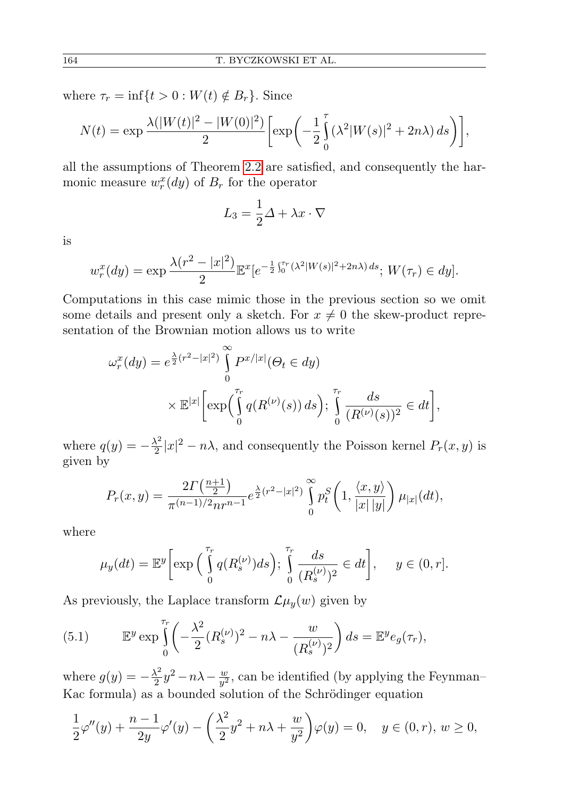where  $\tau_r = \inf\{t > 0 : W(t) \notin B_r\}$ . Since

$$
N(t) = \exp \frac{\lambda(|W(t)|^2 - |W(0)|^2)}{2} \left[ \exp \left( -\frac{1}{2} \int_0^{\tau} (\lambda^2 |W(s)|^2 + 2n\lambda) ds \right) \right],
$$

all the assumptions of Theorem [2.2](#page-3-3) are satisfied, and consequently the harmonic measure  $w_r^x(dy)$  of  $B_r$  for the operator

$$
L_3 = \frac{1}{2}\Delta + \lambda x \cdot \nabla
$$

is

$$
w_r^x(dy) = \exp \frac{\lambda(r^2 - |x|^2)}{2} \mathbb{E}^x[e^{-\frac{1}{2}\int_0^{r} (\lambda^2 |W(s)|^2 + 2n\lambda) ds}; W(\tau_r) \in dy].
$$

Computations in this case mimic those in the previous section so we omit some details and present only a sketch. For  $x \neq 0$  the skew-product representation of the Brownian motion allows us to write

$$
\omega_r^x(dy) = e^{\frac{\lambda}{2}(r^2 - |x|^2)} \int_0^\infty P^{x/|x|}(\Theta_t \in dy)
$$
  
 
$$
\times \mathbb{E}^{|x|} \bigg[ \exp\bigg( \int_0^{r_r} q(R^{(\nu)}(s)) ds \bigg); \int_0^{r_r} \frac{ds}{(R^{(\nu)}(s))^2} \in dt \bigg],
$$

where  $q(y) = -\frac{\lambda^2}{2}$  $\frac{\lambda^2}{2}|x|^2 - n\lambda$ , and consequently the Poisson kernel  $P_r(x, y)$  is given by

$$
P_r(x,y) = \frac{2\Gamma(\frac{n+1}{2})}{\pi^{(n-1)/2}nr^{n-1}}e^{\frac{\lambda}{2}(r^2-|x|^2)}\int_{0}^{\infty}p_t^S\left(1,\frac{\langle x,y\rangle}{|x|\,|y|}\right)\mu_{|x|}(dt),
$$

where

$$
\mu_y(dt) = \mathbb{E}^y \bigg[ \exp\bigg( \int_0^{\tau_r} q(R_s^{(\nu)}) ds \bigg); \int_0^{\tau_r} \frac{ds}{(R_s^{(\nu)})^2} \in dt \bigg], \quad y \in (0, r].
$$

As previously, the Laplace transform  $\mathcal{L}\mu_y(w)$  given by

<span id="page-19-0"></span>(5.1) 
$$
\mathbb{E}^y \exp \int_0^{\tau_r} \left( -\frac{\lambda^2}{2} (R_s^{(\nu)})^2 - n\lambda - \frac{w}{(R_s^{(\nu)})^2} \right) ds = \mathbb{E}^y e_g(\tau_r),
$$

where  $g(y) = -\frac{\lambda^2}{2}$  $\frac{\lambda^2}{2}y^2-n\lambda-\frac{w}{y^2}$  $\frac{w}{y^2}$ , can be identified (by applying the Feynman– Kac formula) as a bounded solution of the Schrödinger equation

$$
\frac{1}{2}\varphi''(y) + \frac{n-1}{2y}\varphi'(y) - \left(\frac{\lambda^2}{2}y^2 + n\lambda + \frac{w}{y^2}\right)\varphi(y) = 0, \quad y \in (0, r), w \ge 0,
$$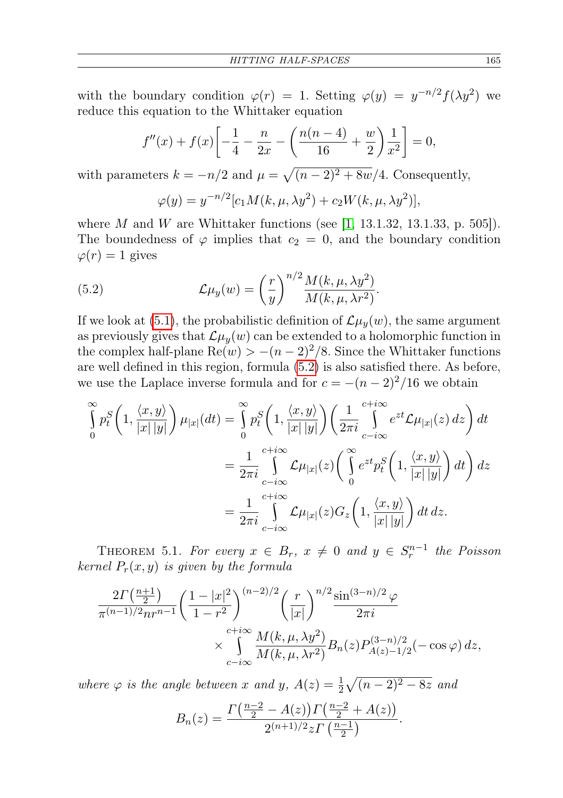with the boundary condition  $\varphi(r) = 1$ . Setting  $\varphi(y) = y^{-n/2} f(\lambda y^2)$  we reduce this equation to the Whittaker equation

$$
f''(x) + f(x) \left[ -\frac{1}{4} - \frac{n}{2x} - \left( \frac{n(n-4)}{16} + \frac{w}{2} \right) \frac{1}{x^2} \right] = 0,
$$

with parameters  $k = -n/2$  and  $\mu = \sqrt{(n-2)^2 + 8w}/4$ . Consequently,

<span id="page-20-0"></span>
$$
\varphi(y) = y^{-n/2} [c_1 M(k, \mu, \lambda y^2) + c_2 W(k, \mu, \lambda y^2)],
$$

where M and W are Whittaker functions (see [\[1,](#page-25-11) 13.1.32, 13.1.33, p. 505]). The boundedness of  $\varphi$  implies that  $c_2 = 0$ , and the boundary condition  $\varphi(r) = 1$  gives

(5.2) 
$$
\mathcal{L}\mu_y(w) = \left(\frac{r}{y}\right)^{n/2} \frac{M(k,\mu,\lambda y^2)}{M(k,\mu,\lambda r^2)}.
$$

If we look at [\(5.1\)](#page-19-0), the probabilistic definition of  $\mathcal{L}\mu_y(w)$ , the same argument as previously gives that  $\mathcal{L}\mu_y(w)$  can be extended to a holomorphic function in the complex half-plane  $\text{Re}(w) > -(n-2)^2/8$ . Since the Whittaker functions are well defined in this region, formula [\(5.2\)](#page-20-0) is also satisfied there. As before, we use the Laplace inverse formula and for  $c = -(n-2)^2/16$  we obtain

$$
\int_{0}^{\infty} p_t^S \left( 1, \frac{\langle x, y \rangle}{|x| |y|} \right) \mu_{|x|}(dt) = \int_{0}^{\infty} p_t^S \left( 1, \frac{\langle x, y \rangle}{|x| |y|} \right) \left( \frac{1}{2\pi i} \int_{c-i\infty}^{c+i\infty} e^{zt} \mathcal{L} \mu_{|x|}(z) dz \right) dt
$$
  

$$
= \frac{1}{2\pi i} \int_{c-i\infty}^{c+i\infty} \mathcal{L} \mu_{|x|}(z) \left( \int_{0}^{\infty} e^{zt} p_t^S \left( 1, \frac{\langle x, y \rangle}{|x| |y|} \right) dt \right) dz
$$
  

$$
= \frac{1}{2\pi i} \int_{c-i\infty}^{c+i\infty} \mathcal{L} \mu_{|x|}(z) G_z \left( 1, \frac{\langle x, y \rangle}{|x| |y|} \right) dt dz.
$$

THEOREM 5.1. For every  $x \in B_r$ ,  $x \neq 0$  and  $y \in S_r^{n-1}$  the Poisson kernel  $P_r(x, y)$  is given by the formula

$$
\frac{2\Gamma(\frac{n+1}{2})}{\pi^{(n-1)/2}nr^{n-1}} \left(\frac{1-|x|^2}{1-r^2}\right)^{(n-2)/2} \left(\frac{r}{|x|}\right)^{n/2} \frac{\sin^{(3-n)/2}\varphi}{2\pi i}
$$
\n
$$
\times \int_{c-i\infty}^{c+i\infty} \frac{M(k,\mu,\lambda y^2)}{M(k,\mu,\lambda r^2)} B_n(z) P_{A(z)-1/2}^{(3-n)/2}(-\cos\varphi) dz,
$$

where  $\varphi$  is the angle between x and y,  $A(z) = \frac{1}{2}\sqrt{(n-2)^2 - 8z}$  and

$$
B_n(z) = \frac{\Gamma(\frac{n-2}{2} - A(z))\Gamma(\frac{n-2}{2} + A(z))}{2^{(n+1)/2}z\Gamma(\frac{n-1}{2})}.
$$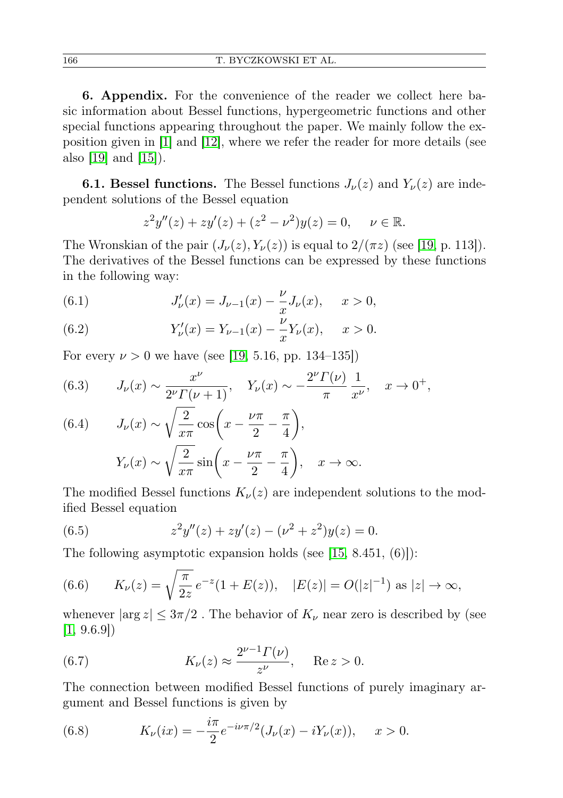6. Appendix. For the convenience of the reader we collect here basic information about Bessel functions, hypergeometric functions and other special functions appearing throughout the paper. We mainly follow the exposition given in [\[1\]](#page-25-11) and [\[12\]](#page-26-5), where we refer the reader for more details (see also [\[19\]](#page-26-6) and [\[15\]](#page-26-7)).

<span id="page-21-4"></span>**6.1. Bessel functions.** The Bessel functions  $J_{\nu}(z)$  and  $Y_{\nu}(z)$  are independent solutions of the Bessel equation

$$
z^{2}y''(z) + zy'(z) + (z^{2} - \nu^{2})y(z) = 0, \quad \nu \in \mathbb{R}.
$$

The Wronskian of the pair  $(J_{\nu}(z), Y_{\nu}(z))$  is equal to  $2/(\pi z)$  (see [\[19,](#page-26-6) p. 113]). The derivatives of the Bessel functions can be expressed by these functions in the following way:

(6.1) 
$$
J'_{\nu}(x) = J_{\nu-1}(x) - \frac{\nu}{x}J_{\nu}(x), \quad x > 0,
$$

(6.2) 
$$
Y'_{\nu}(x) = Y_{\nu-1}(x) - \frac{\nu}{x} Y_{\nu}(x), \quad x > 0.
$$

For every  $\nu > 0$  we have (see [\[19,](#page-26-6) 5.16, pp. 134–135])

(6.3) 
$$
J_{\nu}(x) \sim \frac{x^{\nu}}{2^{\nu} \Gamma(\nu+1)}, \quad Y_{\nu}(x) \sim -\frac{2^{\nu} \Gamma(\nu)}{\pi} \frac{1}{x^{\nu}}, \quad x \to 0^{+},
$$

(6.4) 
$$
J_{\nu}(x) \sim \sqrt{\frac{2}{x\pi}} \cos\left(x - \frac{\nu\pi}{2} - \frac{\pi}{4}\right),
$$

$$
Y_{\nu}(x) \sim \sqrt{\frac{2}{x\pi}} \sin\left(x - \frac{\nu\pi}{2} - \frac{\pi}{4}\right), \quad x \to \infty.
$$

The modified Bessel functions  $K_{\nu}(z)$  are independent solutions to the modified Bessel equation

<span id="page-21-0"></span>(6.5) 
$$
z^2y''(z) + zy'(z) - (\nu^2 + z^2)y(z) = 0.
$$

The following asymptotic expansion holds (see [\[15,](#page-26-7) 8.451, (6)]):

<span id="page-21-1"></span>(6.6) 
$$
K_{\nu}(z) = \sqrt{\frac{\pi}{2z}} e^{-z} (1 + E(z)), \quad |E(z)| = O(|z|^{-1}) \text{ as } |z| \to \infty,
$$

whenever  $|\arg z| \leq 3\pi/2$ . The behavior of  $K_{\nu}$  near zero is described by (see  $[1, 9.6.9]$  $[1, 9.6.9]$ 

<span id="page-21-2"></span>(6.7) 
$$
K_{\nu}(z) \approx \frac{2^{\nu-1}\Gamma(\nu)}{z^{\nu}}, \quad \text{Re } z > 0.
$$

The connection between modified Bessel functions of purely imaginary argument and Bessel functions is given by

<span id="page-21-3"></span>(6.8) 
$$
K_{\nu}(ix) = -\frac{i\pi}{2}e^{-i\nu\pi/2}(J_{\nu}(x) - iY_{\nu}(x)), \quad x > 0.
$$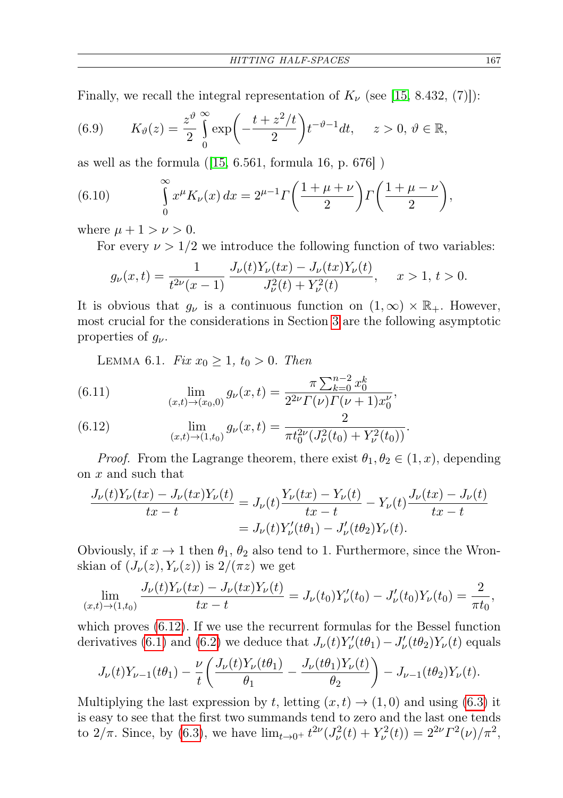Finally, we recall the integral representation of  $K_{\nu}$  (see [\[15,](#page-26-7) 8.432, (7)]):

<span id="page-22-0"></span>(6.9) 
$$
K_{\vartheta}(z) = \frac{z^{\vartheta}}{2} \int_{0}^{\infty} \exp\left(-\frac{t+z^2/t}{2}\right) t^{-\vartheta - 1} dt, \quad z > 0, \ \vartheta \in \mathbb{R},
$$

as well as the formula  $(15, 6.561, \text{formula } 16, \text{ p. } 676)$ )

<span id="page-22-2"></span>(6.10) 
$$
\int_{0}^{\infty} x^{\mu} K_{\nu}(x) dx = 2^{\mu-1} \Gamma\left(\frac{1+\mu+\nu}{2}\right) \Gamma\left(\frac{1+\mu-\nu}{2}\right),
$$

where  $\mu + 1 > \nu > 0$ .

For every  $\nu > 1/2$  we introduce the following function of two variables:

$$
g_{\nu}(x,t) = \frac{1}{t^{2\nu}(x-1)} \frac{J_{\nu}(t)Y_{\nu}(tx) - J_{\nu}(tx)Y_{\nu}(t)}{J_{\nu}^{2}(t) + Y_{\nu}^{2}(t)}, \quad x > 1, t > 0.
$$

It is obvious that  $g_{\nu}$  is a continuous function on  $(1,\infty) \times \mathbb{R}_{+}$ . However, most crucial for the considerations in Section [3](#page-4-0) are the following asymptotic properties of  $g_{\nu}$ .

<span id="page-22-1"></span>LEMMA 6.1. Fix  $x_0 \geq 1$ ,  $t_0 > 0$ . Then

(6.11) 
$$
\lim_{(x,t)\to(x_0,0)} g_{\nu}(x,t) = \frac{\pi \sum_{k=0}^{n-2} x_0^k}{2^{2\nu} \Gamma(\nu) \Gamma(\nu+1) x_0^{\nu}},
$$

(6.12) 
$$
\lim_{(x,t)\to(1,t_0)} g_{\nu}(x,t) = \frac{2}{\pi t_0^{2\nu}(J_{\nu}^2(t_0) + Y_{\nu}^2(t_0))}.
$$

*Proof.* From the Lagrange theorem, there exist  $\theta_1, \theta_2 \in (1, x)$ , depending on x and such that

$$
\frac{J_{\nu}(t)Y_{\nu}(tx) - J_{\nu}(tx)Y_{\nu}(t)}{tx - t} = J_{\nu}(t)\frac{Y_{\nu}(tx) - Y_{\nu}(t)}{tx - t} - Y_{\nu}(t)\frac{J_{\nu}(tx) - J_{\nu}(t)}{tx - t}
$$

$$
= J_{\nu}(t)Y_{\nu}'(t\theta_1) - J_{\nu}'(t\theta_2)Y_{\nu}(t).
$$

Obviously, if  $x \to 1$  then  $\theta_1$ ,  $\theta_2$  also tend to 1. Furthermore, since the Wronskian of  $(J_{\nu}(z), Y_{\nu}(z))$  is  $2/(\pi z)$  we get

$$
\lim_{(x,t)\to(1,t_0)}\frac{J_{\nu}(t)Y_{\nu}(tx) - J_{\nu}(tx)Y_{\nu}(t)}{tx - t} = J_{\nu}(t_0)Y_{\nu}'(t_0) - J_{\nu}'(t_0)Y_{\nu}(t_0) = \frac{2}{\pi t_0},
$$

which proves [\(6.12\)](#page-22-1). If we use the recurrent formulas for the Bessel function derivatives [\(6.1\)](#page-21-4) and [\(6.2\)](#page-21-4) we deduce that  $J_{\nu}(t)Y_{\nu}'(t\theta_1) - J_{\nu}'(t\theta_2)Y_{\nu}(t)$  equals

$$
J_{\nu}(t)Y_{\nu-1}(t\theta_1) - \frac{\nu}{t}\left(\frac{J_{\nu}(t)Y_{\nu}(t\theta_1)}{\theta_1} - \frac{J_{\nu}(t\theta_1)Y_{\nu}(t)}{\theta_2}\right) - J_{\nu-1}(t\theta_2)Y_{\nu}(t).
$$

Multiplying the last expression by t, letting  $(x, t) \rightarrow (1, 0)$  and using [\(6.3\)](#page-21-4) it is easy to see that the first two summands tend to zero and the last one tends to  $2/\pi$ . Since, by [\(6.3\)](#page-21-4), we have  $\lim_{t\to 0^+} t^{2\nu} (J_\nu^2(t) + Y_\nu^2(t)) = 2^{2\nu} \Gamma^2(\nu) / \pi^2$ ,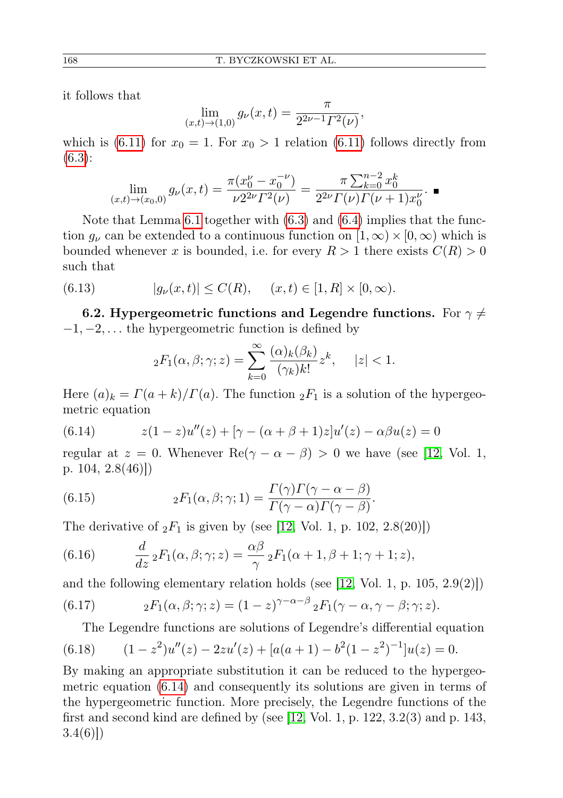it follows that

$$
\lim_{(x,t)\to(1,0)} g_{\nu}(x,t) = \frac{\pi}{2^{2\nu-1}\Gamma^2(\nu)},
$$

which is [\(6.11\)](#page-22-1) for  $x_0 = 1$ . For  $x_0 > 1$  relation (6.11) follows directly from [\(6.3\)](#page-21-4):

$$
\lim_{(x,t)\to(x_0,0)} g_{\nu}(x,t) = \frac{\pi (x_0^{\nu} - x_0^{-\nu})}{\nu 2^{2\nu} \Gamma^2(\nu)} = \frac{\pi \sum_{k=0}^{n-2} x_0^k}{2^{2\nu} \Gamma(\nu) \Gamma(\nu+1) x_0^{\nu}}.
$$

Note that Lemma [6.1](#page-22-1) together with [\(6.3\)](#page-21-4) and [\(6.4\)](#page-21-4) implies that the function  $g_{\nu}$  can be extended to a continuous function on  $[1,\infty) \times [0,\infty)$  which is bounded whenever x is bounded, i.e. for every  $R > 1$  there exists  $C(R) > 0$ such that

(6.13) 
$$
|g_{\nu}(x,t)| \le C(R), \quad (x,t) \in [1,R] \times [0,\infty).
$$

6.2. Hypergeometric functions and Legendre functions. For  $\gamma \neq 0$  $-1, -2, \ldots$  the hypergeometric function is defined by

<span id="page-23-0"></span>
$$
{}_2F_1(\alpha,\beta;\gamma;z) = \sum_{k=0}^{\infty} \frac{(\alpha)_k(\beta_k)}{(\gamma_k)k!} z^k, \quad |z| < 1.
$$

Here  $(a)_k = \Gamma(a+k)/\Gamma(a)$ . The function  ${}_2F_1$  is a solution of the hypergeometric equation

<span id="page-23-5"></span>(6.14) 
$$
z(1-z)u''(z) + [\gamma - (\alpha + \beta + 1)z]u'(z) - \alpha\beta u(z) = 0
$$

regular at  $z = 0$ . Whenever Re( $\gamma - \alpha - \beta$ ) > 0 we have (see [\[12,](#page-26-5) Vol. 1, p. 104, 2.8(46)])

<span id="page-23-3"></span>(6.15) 
$$
{}_2F_1(\alpha, \beta; \gamma; 1) = \frac{\Gamma(\gamma)\Gamma(\gamma - \alpha - \beta)}{\Gamma(\gamma - \alpha)\Gamma(\gamma - \beta)}.
$$

The derivative of  $_2F_1$  is given by (see [\[12,](#page-26-5) Vol. 1, p. 102, 2.8(20)])

<span id="page-23-1"></span>(6.16) 
$$
\frac{d}{dz} {}_2F_1(\alpha, \beta; \gamma; z) = \frac{\alpha \beta}{\gamma} {}_2F_1(\alpha + 1, \beta + 1; \gamma + 1; z),
$$

and the following elementary relation holds (see  $(12, \text{Vol. } 1, \text{p. } 105, 2.9(2))$ )

(6.17) 
$$
{}_2F_1(\alpha,\beta;\gamma;z)=(1-z)^{\gamma-\alpha-\beta}{}_2F_1(\gamma-\alpha,\gamma-\beta;\gamma;z).
$$

<span id="page-23-4"></span><span id="page-23-2"></span>The Legendre functions are solutions of Legendre's differential equation

(6.18) 
$$
(1-z^2)u''(z) - 2zu'(z) + [a(a+1) - b^2(1-z^2)^{-1}]u(z) = 0.
$$

By making an appropriate substitution it can be reduced to the hypergeometric equation [\(6.14\)](#page-23-5) and consequently its solutions are given in terms of the hypergeometric function. More precisely, the Legendre functions of the first and second kind are defined by (see [\[12,](#page-26-5) Vol. 1, p. 122,  $3.2(3)$  and p. 143,  $3.4(6)$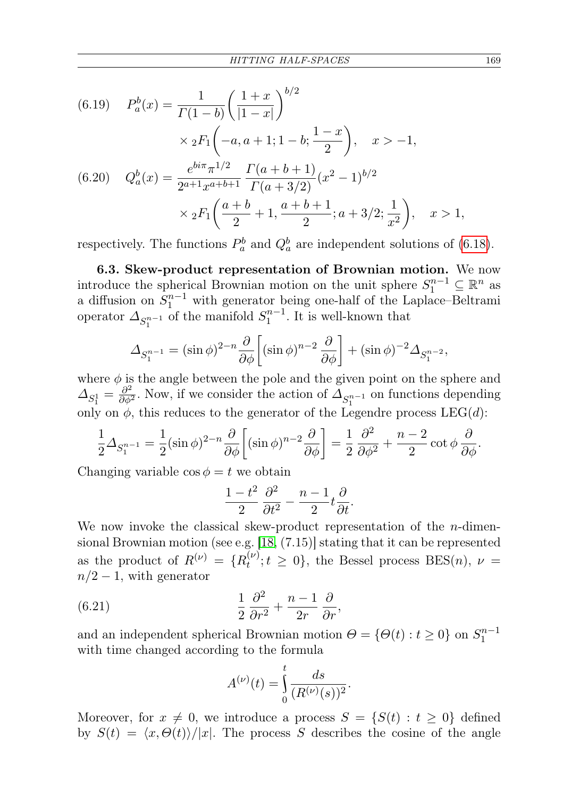(6.19) 
$$
P_a^b(x) = \frac{1}{\Gamma(1-b)} \left(\frac{1+x}{|1-x|}\right)^{b/2}
$$

$$
\times {}_2F_1\left(-a, a+1; 1-b; \frac{1-x}{2}\right), \quad x > -1,
$$
  
(6.20) 
$$
Q_a^b(x) = \frac{e^{bi\pi} \pi^{1/2}}{2^{a+1} x^{a+b+1}} \frac{\Gamma(a+b+1)}{\Gamma(a+3/2)} (x^2-1)^{b/2}
$$

$$
\times {}_2F_1\left(\frac{a+b}{2}+1, \frac{a+b+1}{2}; a+3/2; \frac{1}{x^2}\right), \quad x > 1,
$$

respectively. The functions  $P_a^b$  and  $Q_a^b$  are independent solutions of [\(6.18\)](#page-23-4).

6.3. Skew-product representation of Brownian motion. We now introduce the spherical Brownian motion on the unit sphere  $S_1^{n-1} \subseteq \mathbb{R}^n$  as a diffusion on  $S_1^{n-1}$  with generator being one-half of the Laplace–Beltrami operator  $\Delta_{S_1^{n-1}}$  of the manifold  $S_1^{n-1}$ . It is well-known that

$$
\Delta_{S_1^{n-1}} = (\sin \phi)^{2-n} \frac{\partial}{\partial \phi} \left[ (\sin \phi)^{n-2} \frac{\partial}{\partial \phi} \right] + (\sin \phi)^{-2} \Delta_{S_1^{n-2}},
$$

where  $\phi$  is the angle between the pole and the given point on the sphere and  $\Delta_{S_1^1} = \frac{\partial^2}{\partial \phi^2}$ . Now, if we consider the action of  $\Delta_{S_1^{n-1}}$  on functions depending only on  $\phi$ , this reduces to the generator of the Legendre process LEG(d):

$$
\frac{1}{2}\Delta_{S_1^{n-1}} = \frac{1}{2}(\sin\phi)^{2-n}\frac{\partial}{\partial\phi}\left[ (\sin\phi)^{n-2}\frac{\partial}{\partial\phi} \right] = \frac{1}{2}\frac{\partial^2}{\partial\phi^2} + \frac{n-2}{2}\cot\phi\frac{\partial}{\partial\phi}.
$$

Changing variable  $\cos \phi = t$  we obtain

$$
\frac{1-t^2}{2}\frac{\partial^2}{\partial t^2} - \frac{n-1}{2}t\frac{\partial}{\partial t}.
$$

We now invoke the classical skew-product representation of the  $n$ -dimensional Brownian motion (see e.g.  $[18, (7.15)]$  $[18, (7.15)]$  stating that it can be represented as the product of  $R^{(\nu)} = \{R_t^{(\nu)}\}$  $t^{(\nu)}_t; t \geq 0$ , the Bessel process BES(*n*),  $\nu =$  $n/2-1$ , with generator

(6.21) 
$$
\frac{1}{2} \frac{\partial^2}{\partial r^2} + \frac{n-1}{2r} \frac{\partial}{\partial r},
$$

and an independent spherical Brownian motion  $\Theta = \{ \Theta(t) : t \geq 0 \}$  on  $S_1^{n-1}$ with time changed according to the formula

<span id="page-24-0"></span>
$$
A^{(\nu)}(t) = \int_{0}^{t} \frac{ds}{(R^{(\nu)}(s))^2}.
$$

Moreover, for  $x \neq 0$ , we introduce a process  $S = \{S(t) : t \geq 0\}$  defined by  $S(t) = \langle x, \Theta(t) \rangle / |x|$ . The process S describes the cosine of the angle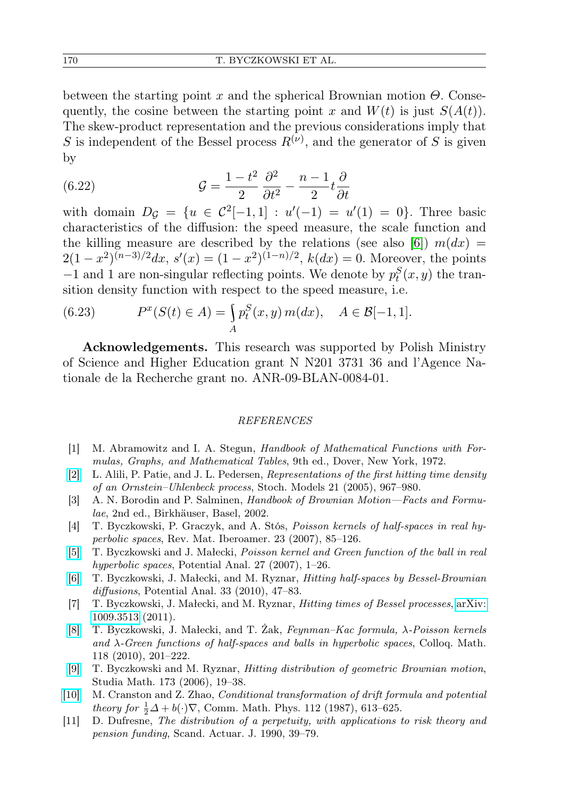between the starting point x and the spherical Brownian motion  $\Theta$ . Consequently, the cosine between the starting point x and  $W(t)$  is just  $S(A(t))$ . The skew-product representation and the previous considerations imply that S is independent of the Bessel process  $R^{(\nu)}$ , and the generator of S is given by

<span id="page-25-10"></span>(6.22) 
$$
\mathcal{G} = \frac{1 - t^2}{2} \frac{\partial^2}{\partial t^2} - \frac{n - 1}{2} t \frac{\partial}{\partial t}
$$

with domain  $D_{\mathcal{G}} = \{u \in C^2[-1,1] : u'(-1) = u'(1) = 0\}.$  Three basic characteristics of the diffusion: the speed measure, the scale function and the killing measure are described by the relations (see also [\[6\]](#page-25-12))  $m(dx)$  =  $2(1-x^2)^{(n-3)/2}dx, s'(x)=(1-x^2)^{(1-n)/2}, k(dx)=0.$  Moreover, the points  $-1$  and 1 are non-singular reflecting points. We denote by  $p_t^S(x, y)$  the transition density function with respect to the speed measure, i.e.

<span id="page-25-8"></span>(6.23) 
$$
P^{x}(S(t) \in A) = \int_{A} p_{t}^{S}(x, y) m(dx), \quad A \in \mathcal{B}[-1, 1].
$$

Acknowledgements. This research was supported by Polish Ministry of Science and Higher Education grant N N201 3731 36 and l'Agence Nationale de la Recherche grant no. ANR-09-BLAN-0084-01.

## REFERENCES

- <span id="page-25-11"></span>[1] M. Abramowitz and I. A. Stegun, Handbook of Mathematical Functions with Formulas, Graphs, and Mathematical Tables, 9th ed., Dover, New York, 1972.
- <span id="page-25-0"></span>[\[2\]](http://dx.doi.org/10.1080/15326340500294702) L. Alili, P. Patie, and J. L. Pedersen, Representations of the first hitting time density of an Ornstein–Uhlenbeck process, Stoch. Models 21 (2005), 967–980.
- <span id="page-25-9"></span>[3] A. N. Borodin and P. Salminen, Handbook of Brownian Motion—Facts and Formulae, 2nd ed., Birkhäuser, Basel, 2002.
- <span id="page-25-4"></span>[4] T. Byczkowski, P. Graczyk, and A. Stós, Poisson kernels of half-spaces in real hyperbolic spaces, Rev. Mat. Iberoamer. 23 (2007), 85–126.
- <span id="page-25-6"></span>[\[5\]](http://dx.doi.org/10.1007/s11118-007-9050-8) T. Byczkowski and J. Małecki, Poisson kernel and Green function of the ball in real hyperbolic spaces, Potential Anal. 27 (2007), 1–26.
- <span id="page-25-12"></span>[\[6\]](http://dx.doi.org/10.1007/s11118-009-9159-z) T. Byczkowski, J. Małecki, and M. Ryznar, Hitting half-spaces by Bessel-Brownian diffusions, Potential Anal. 33 (2010), 47–83.
- <span id="page-25-2"></span>[7] T. Byczkowski, J. Małecki, and M. Ryznar, Hitting times of Bessel processes, [arXiv:](http://arxiv.org/abs/1009.3513) [1009.3513](http://arxiv.org/abs/1009.3513) (2011).
- <span id="page-25-5"></span>[\[8\]](http://dx.doi.org/10.4064/cm118-1-11) T. Byczkowski, J. Małecki, and T. Żak, Feynman–Kac formula, λ-Poisson kernels and  $\lambda$ -Green functions of half-spaces and balls in hyperbolic spaces, Colloq. Math. 118 (2010), 201–222.
- <span id="page-25-7"></span>[\[9\]](http://dx.doi.org/10.4064/sm173-1-2) T. Byczkowski and M. Ryznar, Hitting distribution of geometric Brownian motion, Studia Math. 173 (2006), 19–38.
- <span id="page-25-1"></span>[\[10\]](http://dx.doi.org/10.1007/BF01225375) M. Cranston and Z. Zhao, Conditional transformation of drift formula and potential *theory for*  $\frac{1}{2}\Delta + b(\cdot)\nabla$ , Comm. Math. Phys. 112 (1987), 613–625.
- <span id="page-25-3"></span>[11] D. Dufresne, The distribution of a perpetuity, with applications to risk theory and pension funding, Scand. Actuar. J. 1990, 39–79.